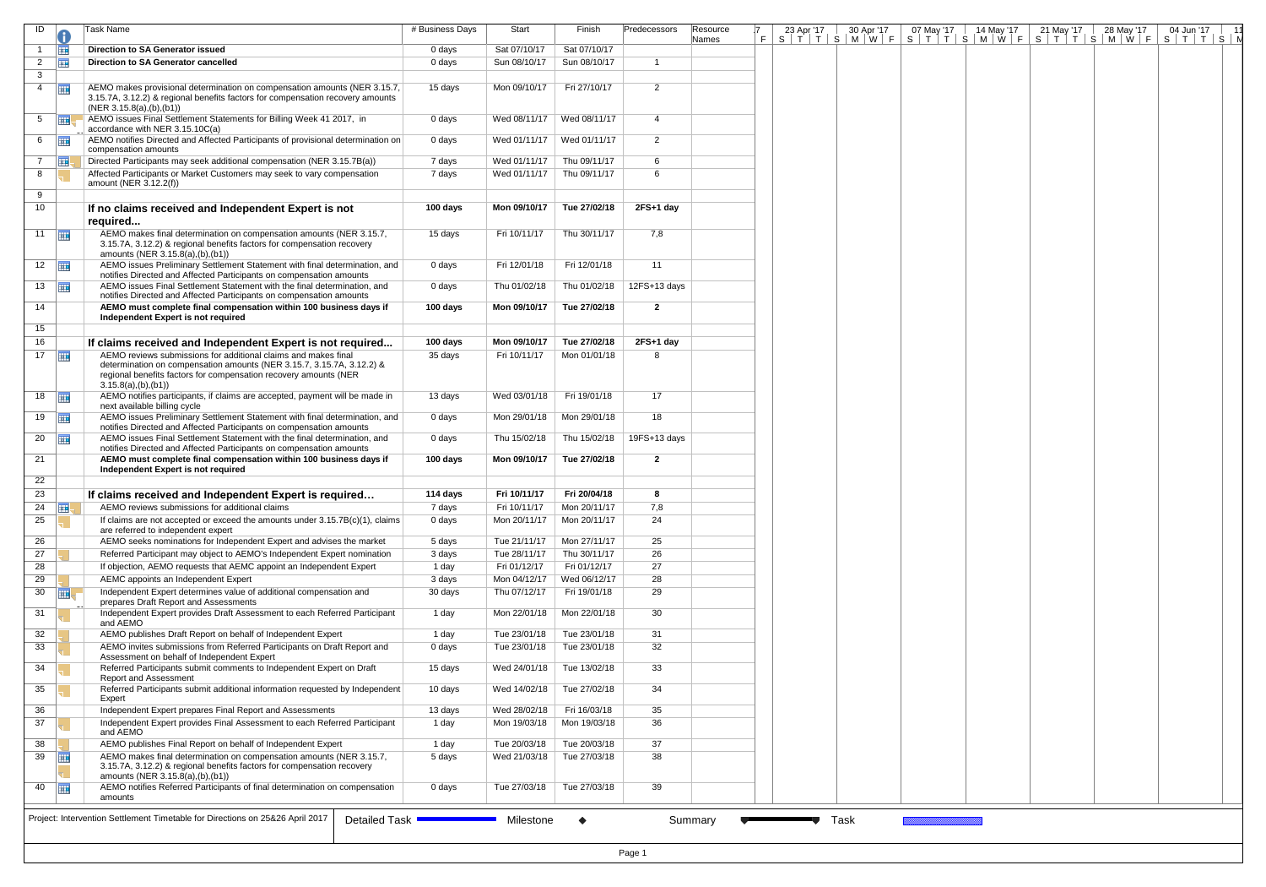| ID                 |                | Task Name                                                                                                                                                                                                                           | # Business Days | Start                       | Finish       | Predecessors      | Resource |      |  |  | 7 23 Apr '17 30 Apr '17 07 May '17 14 May '17 21 May '17 28 May '17 04 Jun '17 11<br>F S T T S M W F S T T S M W F S T T S M W F S T T S M W F S T T S N |  |
|--------------------|----------------|-------------------------------------------------------------------------------------------------------------------------------------------------------------------------------------------------------------------------------------|-----------------|-----------------------------|--------------|-------------------|----------|------|--|--|----------------------------------------------------------------------------------------------------------------------------------------------------------|--|
|                    | <b>THE</b>     | <b>Direction to SA Generator issued</b>                                                                                                                                                                                             | 0 days          | Sat 07/10/17                | Sat 07/10/17 |                   | Names    |      |  |  |                                                                                                                                                          |  |
| $\overline{2}$     | 亜              | <b>Direction to SA Generator cancelled</b>                                                                                                                                                                                          | 0 days          | Sun 08/10/17                | Sun 08/10/17 | $\mathbf{1}$      |          |      |  |  |                                                                                                                                                          |  |
| 3 <sup>7</sup>     |                |                                                                                                                                                                                                                                     |                 |                             |              |                   |          |      |  |  |                                                                                                                                                          |  |
| $\overline{4}$     | <b>THE</b>     | AEMO makes provisional determination on compensation amounts (NER 3.15.7,<br>3.15.7A, 3.12.2) & regional benefits factors for compensation recovery amounts<br>(NER 3.15.8(a), (b), (b1))                                           | 15 days         | Mon 09/10/17                | Fri 27/10/17 | $\overline{2}$    |          |      |  |  |                                                                                                                                                          |  |
| 5                  | $\overline{m}$ | AEMO issues Final Settlement Statements for Billing Week 41 2017, in<br>accordance with NER 3.15.10C(a)                                                                                                                             | 0 days          | Wed 08/11/17                | Wed 08/11/17 | 4                 |          |      |  |  |                                                                                                                                                          |  |
| 6                  | <b>FIFE</b>    | AEMO notifies Directed and Affected Participants of provisional determination on<br>compensation amounts                                                                                                                            | 0 days          | Wed 01/11/17   Wed 01/11/17 |              | $\overline{2}$    |          |      |  |  |                                                                                                                                                          |  |
| $7^{\circ}$        | <b>THE</b>     | Directed Participants may seek additional compensation (NER 3.15.7B(a))                                                                                                                                                             | 7 days          | Wed 01/11/17                | Thu 09/11/17 | 6                 |          |      |  |  |                                                                                                                                                          |  |
| 8                  |                | Affected Participants or Market Customers may seek to vary compensation<br>amount (NER 3.12.2(f))                                                                                                                                   | 7 days          | Wed 01/11/17                | Thu 09/11/17 | 6                 |          |      |  |  |                                                                                                                                                          |  |
| 9<br>10            |                | If no claims received and Independent Expert is not<br>required                                                                                                                                                                     | 100 days        | Mon 09/10/17                | Tue 27/02/18 | $2FS+1$ day       |          |      |  |  |                                                                                                                                                          |  |
| $11$ $\Box$        |                | AEMO makes final determination on compensation amounts (NER 3.15.7,<br>3.15.7A, 3.12.2) & regional benefits factors for compensation recovery<br>amounts (NER 3.15.8(a),(b),(b1))                                                   | 15 days         | Fri 10/11/17                | Thu 30/11/17 | 7,8               |          |      |  |  |                                                                                                                                                          |  |
| $12$ $\Box$        |                | AEMO issues Preliminary Settlement Statement with final determination, and<br>notifies Directed and Affected Participants on compensation amounts                                                                                   | 0 days          | Fri 12/01/18                | Fri 12/01/18 | 11                |          |      |  |  |                                                                                                                                                          |  |
| 13                 |                | AEMO issues Final Settlement Statement with the final determination, and<br>notifies Directed and Affected Participants on compensation amounts                                                                                     | 0 days          | Thu 01/02/18                | Thu 01/02/18 | 12FS+13 days      |          |      |  |  |                                                                                                                                                          |  |
| 14                 |                | AEMO must complete final compensation within 100 business days if<br>Independent Expert is not required                                                                                                                             | 100 days        | Mon 09/10/17                | Tue 27/02/18 | $\mathbf{2}$      |          |      |  |  |                                                                                                                                                          |  |
| 15 <sub>1</sub>    |                |                                                                                                                                                                                                                                     |                 |                             |              |                   |          |      |  |  |                                                                                                                                                          |  |
| 16                 |                | If claims received and Independent Expert is not required                                                                                                                                                                           | 100 days        | Mon 09/10/17                | Tue 27/02/18 | 2FS+1 day         |          |      |  |  |                                                                                                                                                          |  |
| $17$ $\Box$        |                | AEMO reviews submissions for additional claims and makes final<br>determination on compensation amounts (NER 3.15.7, 3.15.7A, 3.12.2) &<br>regional benefits factors for compensation recovery amounts (NER<br>3.15.8(a), (b), (b1) | 35 days         | Fri 10/11/17                | Mon 01/01/18 | 8                 |          |      |  |  |                                                                                                                                                          |  |
| 18                 | <b>Fill</b>    | AEMO notifies participants, if claims are accepted, payment will be made in<br>next available billing cycle                                                                                                                         | 13 days         | Wed 03/01/18                | Fri 19/01/18 | 17                |          |      |  |  |                                                                                                                                                          |  |
| $19$ $\frac{1}{2}$ |                | AEMO issues Preliminary Settlement Statement with final determination, and<br>notifies Directed and Affected Participants on compensation amounts                                                                                   | 0 days          | Mon 29/01/18                | Mon 29/01/18 | 18                |          |      |  |  |                                                                                                                                                          |  |
| $20$ $\Box$        |                | AEMO issues Final Settlement Statement with the final determination, and<br>notifies Directed and Affected Participants on compensation amounts                                                                                     | 0 days          | Thu 15/02/18                | Thu 15/02/18 | 19FS+13 days      |          |      |  |  |                                                                                                                                                          |  |
| 21<br>22           |                | AEMO must complete final compensation within 100 business days if<br>Independent Expert is not required                                                                                                                             | 100 days        | Mon 09/10/17                | Tue 27/02/18 | $\mathbf{2}$      |          |      |  |  |                                                                                                                                                          |  |
| 23                 |                | If claims received and Independent Expert is required                                                                                                                                                                               | 114 days        | Fri 10/11/17                | Fri 20/04/18 | 8                 |          |      |  |  |                                                                                                                                                          |  |
| 24                 | <b>THE</b>     | AEMO reviews submissions for additional claims                                                                                                                                                                                      | 7 days          | Fri 10/11/17                | Mon 20/11/17 | 7,8               |          |      |  |  |                                                                                                                                                          |  |
| 25                 |                | If claims are not accepted or exceed the amounts under $3.15.7B(c)(1)$ , claims<br>are referred to independent expert                                                                                                               | 0 days          | Mon 20/11/17                | Mon 20/11/17 | 24                |          |      |  |  |                                                                                                                                                          |  |
| 26                 |                | AEMO seeks nominations for Independent Expert and advises the market                                                                                                                                                                | 5 days          | Tue 21/11/17                | Mon 27/11/17 | 25                |          |      |  |  |                                                                                                                                                          |  |
| 27                 |                | Referred Participant may object to AEMO's Independent Expert nomination                                                                                                                                                             | 3 days          | Tue 28/11/17                | Thu 30/11/17 | 26                |          |      |  |  |                                                                                                                                                          |  |
| 28                 |                | If objection, AEMO requests that AEMC appoint an Independent Expert                                                                                                                                                                 | 1 day           | Fri 01/12/17                | Fri 01/12/17 | 27                |          |      |  |  |                                                                                                                                                          |  |
| 29                 |                | AEMC appoints an Independent Expert                                                                                                                                                                                                 | 3 days          | Mon 04/12/17                | Wed 06/12/17 | 28                |          |      |  |  |                                                                                                                                                          |  |
| 30                 | <b>HE</b>      | Independent Expert determines value of additional compensation and<br>prepares Draft Report and Assessments                                                                                                                         | 30 days         | Thu 07/12/17                | Fri 19/01/18 | 29                |          |      |  |  |                                                                                                                                                          |  |
| 31                 |                | Independent Expert provides Draft Assessment to each Referred Participant<br>and AEMO                                                                                                                                               | 1 day           | Mon 22/01/18                | Mon 22/01/18 | 30                |          |      |  |  |                                                                                                                                                          |  |
| 32                 |                | AEMO publishes Draft Report on behalf of Independent Expert                                                                                                                                                                         | 1 day           | Tue 23/01/18                | Tue 23/01/18 | 31                |          |      |  |  |                                                                                                                                                          |  |
| 33                 |                | AEMO invites submissions from Referred Participants on Draft Report and<br>Assessment on behalf of Independent Expert                                                                                                               | 0 days          | Tue 23/01/18                | Tue 23/01/18 | 32                |          |      |  |  |                                                                                                                                                          |  |
| 34                 |                | Referred Participants submit comments to Independent Expert on Draft<br>Report and Assessment                                                                                                                                       | 15 days         | Wed 24/01/18                | Tue 13/02/18 | 33                |          |      |  |  |                                                                                                                                                          |  |
| 35                 |                | Referred Participants submit additional information requested by Independent<br>Expert                                                                                                                                              | 10 days         | Wed 14/02/18                | Tue 27/02/18 | 34                |          |      |  |  |                                                                                                                                                          |  |
| 36                 |                | Independent Expert prepares Final Report and Assessments                                                                                                                                                                            | 13 days         | Wed 28/02/18                | Fri 16/03/18 | 35                |          |      |  |  |                                                                                                                                                          |  |
| 37                 |                | Independent Expert provides Final Assessment to each Referred Participant<br>and AEMO                                                                                                                                               | 1 day           | Mon 19/03/18                | Mon 19/03/18 | 36                |          |      |  |  |                                                                                                                                                          |  |
| 38                 |                | AEMO publishes Final Report on behalf of Independent Expert                                                                                                                                                                         | 1 day           | Tue 20/03/18                | Tue 20/03/18 | 37                |          |      |  |  |                                                                                                                                                          |  |
| 39                 | <b>Fill</b>    | AEMO makes final determination on compensation amounts (NER 3.15.7,<br>3.15.7A, 3.12.2) & regional benefits factors for compensation recovery<br>amounts (NER 3.15.8(a),(b),(b1))                                                   | 5 days          | Wed 21/03/18                | Tue 27/03/18 | 38                |          |      |  |  |                                                                                                                                                          |  |
| 40                 | 再              | AEMO notifies Referred Participants of final determination on compensation<br>amounts                                                                                                                                               | 0 days          | Tue 27/03/18                | Tue 27/03/18 | 39                |          |      |  |  |                                                                                                                                                          |  |
|                    |                | Project: Intervention Settlement Timetable for Directions on 25&26 April 2017<br>Detailed Task ■                                                                                                                                    |                 | Milestone                   | $\bullet$    | Summary<br>Page 1 |          | Task |  |  |                                                                                                                                                          |  |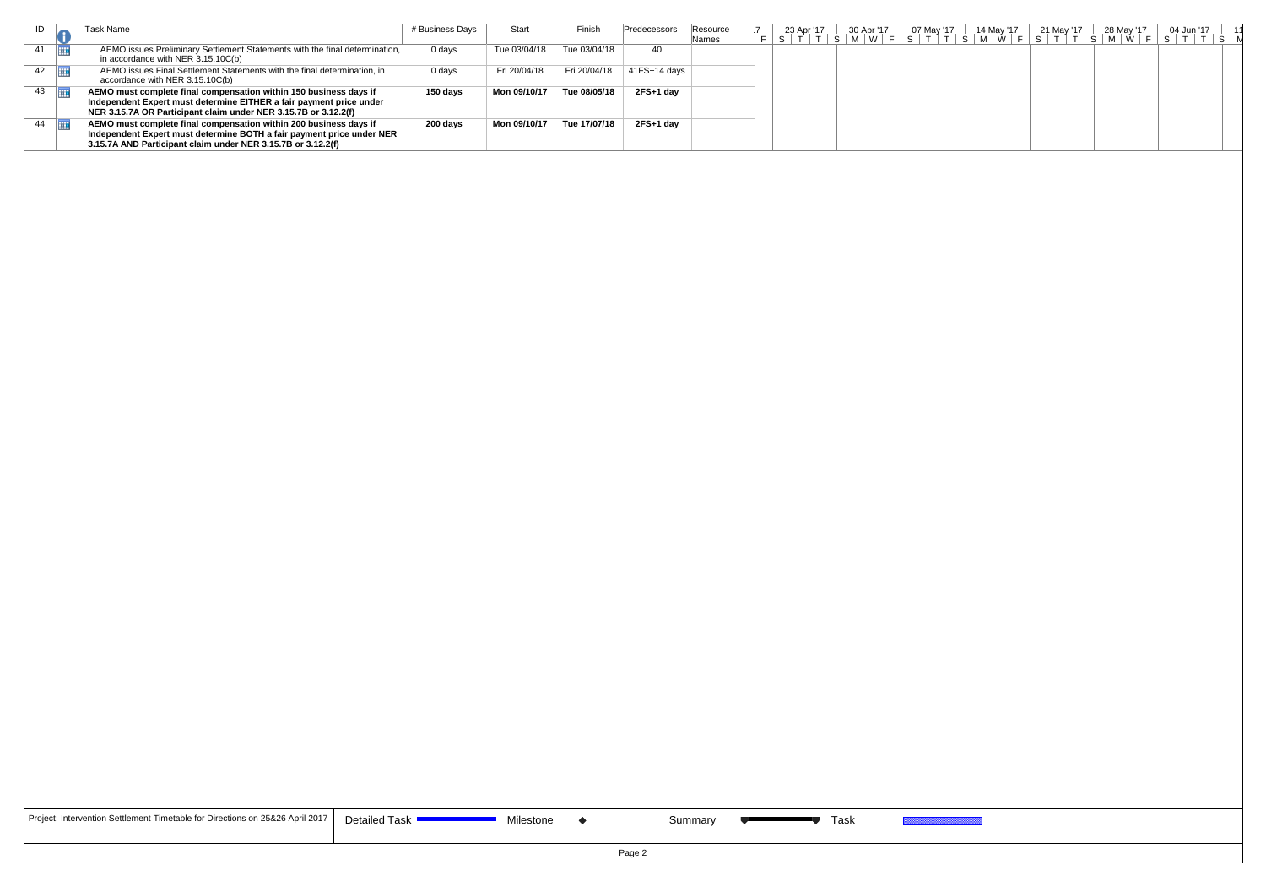| ID              | Task Name                                                                                                                                                                                                   | # Business Days | Start        | Finish       | Predecessors | Resource<br>Names |  |  |  |  | 7 23 Apr'17   30 Apr'17   07 May '17   14 May '17   21 May '17   28 May '17   04 Jun '17   11<br>  F     S     T     T     S     M     W     F     S     T     T     S     M     W     F     S     T     T     S     M     W |  |  |
|-----------------|-------------------------------------------------------------------------------------------------------------------------------------------------------------------------------------------------------------|-----------------|--------------|--------------|--------------|-------------------|--|--|--|--|------------------------------------------------------------------------------------------------------------------------------------------------------------------------------------------------------------------------------|--|--|
| 41<br><b>HI</b> | AEMO issues Preliminary Settlement Statements with the final determination,<br>in accordance with NER 3.15.10C(b)                                                                                           | 0 days          | Tue 03/04/18 | Tue 03/04/18 | 40           |                   |  |  |  |  |                                                                                                                                                                                                                              |  |  |
| 42              | AEMO issues Final Settlement Statements with the final determination, in<br>accordance with NER 3.15.10C(b)                                                                                                 | 0 days          | Fri 20/04/18 | Fri 20/04/18 | 41FS+14 days |                   |  |  |  |  |                                                                                                                                                                                                                              |  |  |
| 43              | AEMO must complete final compensation within 150 business days if<br>Independent Expert must determine EITHER a fair payment price under<br>NER 3.15.7A OR Participant claim under NER 3.15.7B or 3.12.2(f) | 150 days        | Mon 09/10/17 | Tue 08/05/18 | 2FS+1 day    |                   |  |  |  |  |                                                                                                                                                                                                                              |  |  |
| 44<br>再         | AEMO must complete final compensation within 200 business days if<br>Independent Expert must determine BOTH a fair payment price under NER<br>3.15.7A AND Participant claim under NER 3.15.7B or 3.12.2(f)  | 200 days        | Mon 09/10/17 | Tue 17/07/18 | 2FS+1 day    |                   |  |  |  |  |                                                                                                                                                                                                                              |  |  |
|                 |                                                                                                                                                                                                             |                 |              |              |              |                   |  |  |  |  |                                                                                                                                                                                                                              |  |  |
|                 |                                                                                                                                                                                                             |                 |              |              |              |                   |  |  |  |  |                                                                                                                                                                                                                              |  |  |
|                 |                                                                                                                                                                                                             |                 |              |              |              |                   |  |  |  |  |                                                                                                                                                                                                                              |  |  |
|                 |                                                                                                                                                                                                             |                 |              |              |              |                   |  |  |  |  |                                                                                                                                                                                                                              |  |  |
|                 |                                                                                                                                                                                                             |                 |              |              |              |                   |  |  |  |  |                                                                                                                                                                                                                              |  |  |
|                 |                                                                                                                                                                                                             |                 |              |              |              |                   |  |  |  |  |                                                                                                                                                                                                                              |  |  |
|                 |                                                                                                                                                                                                             |                 |              |              |              |                   |  |  |  |  |                                                                                                                                                                                                                              |  |  |

| Project: Intervention Settlement Timetable for Directions on 25&26 April 2017   D |  |
|-----------------------------------------------------------------------------------|--|
|-----------------------------------------------------------------------------------|--|

Detailed Task **Contract Contract Contract Contract Contract Contract Contract Contract Contract Contract Contract Contract Contract Contract Contract Contract Contract Contract Contract Contract Contract Contract Contract**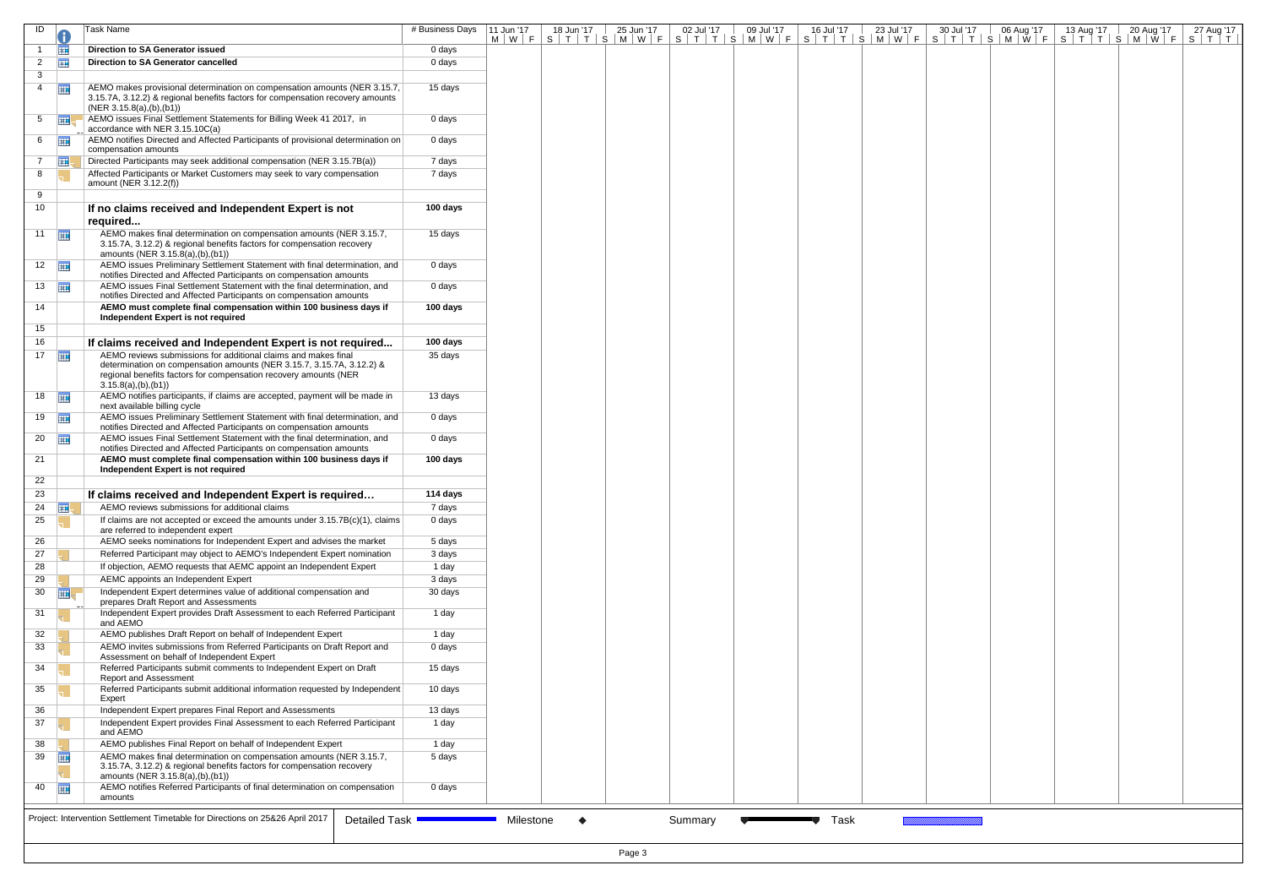| ID             |                       | Task Name                                                                                                                                                                                                                           | # Business Days | 11 Jun '17 | 18 Jun '17<br><u>M   W   F   S   T   T   S   M   W   F   S   T   T   S   M   W   F   S   T   T   S   M   W   F   S   T   T   T   S   M   W   F   S   T   T   C   M   W   F   S   T   T   C   M   W   F   S   T   T   C   M   W   F   S   T   T</u> | 25 Jun '17 | 02 Jul '17 | 09 Jul '17 | 16 Jul '17 | 23 Jul '17 | 30 Jul '17 | 06 Aug '17 | 13 Aug '17 | 20 Aug '17 | 27 Aug '17 |
|----------------|-----------------------|-------------------------------------------------------------------------------------------------------------------------------------------------------------------------------------------------------------------------------------|-----------------|------------|----------------------------------------------------------------------------------------------------------------------------------------------------------------------------------------------------------------------------------------------------|------------|------------|------------|------------|------------|------------|------------|------------|------------|------------|
|                | 亜                     | <b>Direction to SA Generator issued</b>                                                                                                                                                                                             | 0 days          |            |                                                                                                                                                                                                                                                    |            |            |            |            |            |            |            |            |            |            |
| $\mathbf{2}$   | 噩                     | Direction to SA Generator cancelled                                                                                                                                                                                                 | 0 days          |            |                                                                                                                                                                                                                                                    |            |            |            |            |            |            |            |            |            |            |
| 3              |                       |                                                                                                                                                                                                                                     |                 |            |                                                                                                                                                                                                                                                    |            |            |            |            |            |            |            |            |            |            |
| $\overline{4}$ | 亜                     | AEMO makes provisional determination on compensation amounts (NER 3.15.7,<br>3.15.7A, 3.12.2) & regional benefits factors for compensation recovery amounts<br>(NER 3.15.8(a), (b), (b1))                                           | 15 days         |            |                                                                                                                                                                                                                                                    |            |            |            |            |            |            |            |            |            |            |
| 5              | <b>FIEL</b>           | AEMO issues Final Settlement Statements for Billing Week 41 2017, in<br>accordance with NER 3.15.10C(a)                                                                                                                             | 0 days          |            |                                                                                                                                                                                                                                                    |            |            |            |            |            |            |            |            |            |            |
|                | $6 \quad \boxed{11}$  | AEMO notifies Directed and Affected Participants of provisional determination on<br>compensation amounts                                                                                                                            | 0 days          |            |                                                                                                                                                                                                                                                    |            |            |            |            |            |            |            |            |            |            |
| $7^{\circ}$    | <b>FIEL</b>           | Directed Participants may seek additional compensation (NER 3.15.7B(a))                                                                                                                                                             | 7 days          |            |                                                                                                                                                                                                                                                    |            |            |            |            |            |            |            |            |            |            |
| 8              |                       | Affected Participants or Market Customers may seek to vary compensation<br>amount (NER 3.12.2(f))                                                                                                                                   | 7 days          |            |                                                                                                                                                                                                                                                    |            |            |            |            |            |            |            |            |            |            |
| 9              |                       |                                                                                                                                                                                                                                     |                 |            |                                                                                                                                                                                                                                                    |            |            |            |            |            |            |            |            |            |            |
| 10             |                       | If no claims received and Independent Expert is not<br>required                                                                                                                                                                     | 100 days        |            |                                                                                                                                                                                                                                                    |            |            |            |            |            |            |            |            |            |            |
|                | 11                    | AEMO makes final determination on compensation amounts (NER 3.15.7,<br>3.15.7A, 3.12.2) & regional benefits factors for compensation recovery<br>amounts (NER 3.15.8(a),(b),(b1))                                                   | 15 days         |            |                                                                                                                                                                                                                                                    |            |            |            |            |            |            |            |            |            |            |
|                | $12 \quad \boxed{11}$ | AEMO issues Preliminary Settlement Statement with final determination, and<br>notifies Directed and Affected Participants on compensation amounts                                                                                   | 0 days          |            |                                                                                                                                                                                                                                                    |            |            |            |            |            |            |            |            |            |            |
|                | $13 \quad \boxed{11}$ | AEMO issues Final Settlement Statement with the final determination, and<br>notifies Directed and Affected Participants on compensation amounts                                                                                     | 0 days          |            |                                                                                                                                                                                                                                                    |            |            |            |            |            |            |            |            |            |            |
| 14             |                       | AEMO must complete final compensation within 100 business days if<br>Independent Expert is not required                                                                                                                             | 100 days        |            |                                                                                                                                                                                                                                                    |            |            |            |            |            |            |            |            |            |            |
| 15             |                       |                                                                                                                                                                                                                                     |                 |            |                                                                                                                                                                                                                                                    |            |            |            |            |            |            |            |            |            |            |
| 16             |                       | If claims received and Independent Expert is not required                                                                                                                                                                           | 100 days        |            |                                                                                                                                                                                                                                                    |            |            |            |            |            |            |            |            |            |            |
| 17             | 亜                     | AEMO reviews submissions for additional claims and makes final<br>determination on compensation amounts (NER 3.15.7, 3.15.7A, 3.12.2) &<br>regional benefits factors for compensation recovery amounts (NER<br>3.15.8(a), (b), (b1) | 35 days         |            |                                                                                                                                                                                                                                                    |            |            |            |            |            |            |            |            |            |            |
|                | $18$ $\frac{1}{111}$  | AEMO notifies participants, if claims are accepted, payment will be made in<br>next available billing cycle                                                                                                                         | 13 days         |            |                                                                                                                                                                                                                                                    |            |            |            |            |            |            |            |            |            |            |
|                | $19$ $\Box$           | AEMO issues Preliminary Settlement Statement with final determination, and<br>notifies Directed and Affected Participants on compensation amounts                                                                                   | 0 days          |            |                                                                                                                                                                                                                                                    |            |            |            |            |            |            |            |            |            |            |
|                | $20$ $\Box$           | AEMO issues Final Settlement Statement with the final determination, and<br>notifies Directed and Affected Participants on compensation amounts                                                                                     | 0 days          |            |                                                                                                                                                                                                                                                    |            |            |            |            |            |            |            |            |            |            |
| 21             |                       | AEMO must complete final compensation within 100 business days if<br>Independent Expert is not required                                                                                                                             | 100 days        |            |                                                                                                                                                                                                                                                    |            |            |            |            |            |            |            |            |            |            |
| 22             |                       |                                                                                                                                                                                                                                     |                 |            |                                                                                                                                                                                                                                                    |            |            |            |            |            |            |            |            |            |            |
| 23             |                       | If claims received and Independent Expert is required                                                                                                                                                                               | 114 days        |            |                                                                                                                                                                                                                                                    |            |            |            |            |            |            |            |            |            |            |
| 24             | <b>HILL</b>           | AEMO reviews submissions for additional claims<br>If claims are not accepted or exceed the amounts under $3.15.7B(c)(1)$ , claims                                                                                                   | 7 days          |            |                                                                                                                                                                                                                                                    |            |            |            |            |            |            |            |            |            |            |
| 25             |                       | are referred to independent expert                                                                                                                                                                                                  | 0 days          |            |                                                                                                                                                                                                                                                    |            |            |            |            |            |            |            |            |            |            |
| 26             |                       | AEMO seeks nominations for Independent Expert and advises the market                                                                                                                                                                | 5 days          |            |                                                                                                                                                                                                                                                    |            |            |            |            |            |            |            |            |            |            |
| 27             |                       | Referred Participant may object to AEMO's Independent Expert nomination                                                                                                                                                             | 3 days          |            |                                                                                                                                                                                                                                                    |            |            |            |            |            |            |            |            |            |            |
| 28             |                       | If objection, AEMO requests that AEMC appoint an Independent Expert                                                                                                                                                                 | 1 day           |            |                                                                                                                                                                                                                                                    |            |            |            |            |            |            |            |            |            |            |
| 29             |                       | AEMC appoints an Independent Expert                                                                                                                                                                                                 | 3 days          |            |                                                                                                                                                                                                                                                    |            |            |            |            |            |            |            |            |            |            |
| 30             | <b>HIE</b>            | Independent Expert determines value of additional compensation and                                                                                                                                                                  | 30 days         |            |                                                                                                                                                                                                                                                    |            |            |            |            |            |            |            |            |            |            |
| 31             |                       | prepares Draft Report and Assessments<br>Independent Expert provides Draft Assessment to each Referred Participant<br>and AEMO                                                                                                      | 1 day           |            |                                                                                                                                                                                                                                                    |            |            |            |            |            |            |            |            |            |            |
| 32             |                       | AEMO publishes Draft Report on behalf of Independent Expert                                                                                                                                                                         | 1 day           |            |                                                                                                                                                                                                                                                    |            |            |            |            |            |            |            |            |            |            |
| 33             |                       | AEMO invites submissions from Referred Participants on Draft Report and<br>Assessment on behalf of Independent Expert                                                                                                               | 0 days          |            |                                                                                                                                                                                                                                                    |            |            |            |            |            |            |            |            |            |            |
| 34             |                       | Referred Participants submit comments to Independent Expert on Draft<br><b>Report and Assessment</b>                                                                                                                                | 15 days         |            |                                                                                                                                                                                                                                                    |            |            |            |            |            |            |            |            |            |            |
| 35             |                       | Referred Participants submit additional information requested by Independent<br>Expert                                                                                                                                              | 10 days         |            |                                                                                                                                                                                                                                                    |            |            |            |            |            |            |            |            |            |            |
| 36             |                       | Independent Expert prepares Final Report and Assessments                                                                                                                                                                            | 13 days         |            |                                                                                                                                                                                                                                                    |            |            |            |            |            |            |            |            |            |            |
| 37             |                       | Independent Expert provides Final Assessment to each Referred Participant<br>and AEMO                                                                                                                                               | 1 day           |            |                                                                                                                                                                                                                                                    |            |            |            |            |            |            |            |            |            |            |
| 38             |                       | AEMO publishes Final Report on behalf of Independent Expert                                                                                                                                                                         | 1 day           |            |                                                                                                                                                                                                                                                    |            |            |            |            |            |            |            |            |            |            |
| 39             | 噩                     | AEMO makes final determination on compensation amounts (NER 3.15.7,<br>3.15.7A, 3.12.2) & regional benefits factors for compensation recovery<br>amounts (NER 3.15.8(a),(b),(b1))                                                   | 5 days          |            |                                                                                                                                                                                                                                                    |            |            |            |            |            |            |            |            |            |            |
|                | $40$ $\Box$           | AEMO notifies Referred Participants of final determination on compensation<br>amounts                                                                                                                                               | 0 days          |            |                                                                                                                                                                                                                                                    |            |            |            |            |            |            |            |            |            |            |
|                |                       |                                                                                                                                                                                                                                     |                 |            |                                                                                                                                                                                                                                                    |            |            |            |            |            |            |            |            |            |            |
|                |                       | Project: Intervention Settlement Timetable for Directions on 25&26 April 2017<br>Detailed Task                                                                                                                                      |                 | Milestone  | ◆                                                                                                                                                                                                                                                  |            | Summary    |            | Task       |            |            |            |            |            |            |
|                |                       |                                                                                                                                                                                                                                     |                 |            |                                                                                                                                                                                                                                                    | Page 3     |            |            |            |            |            |            |            |            |            |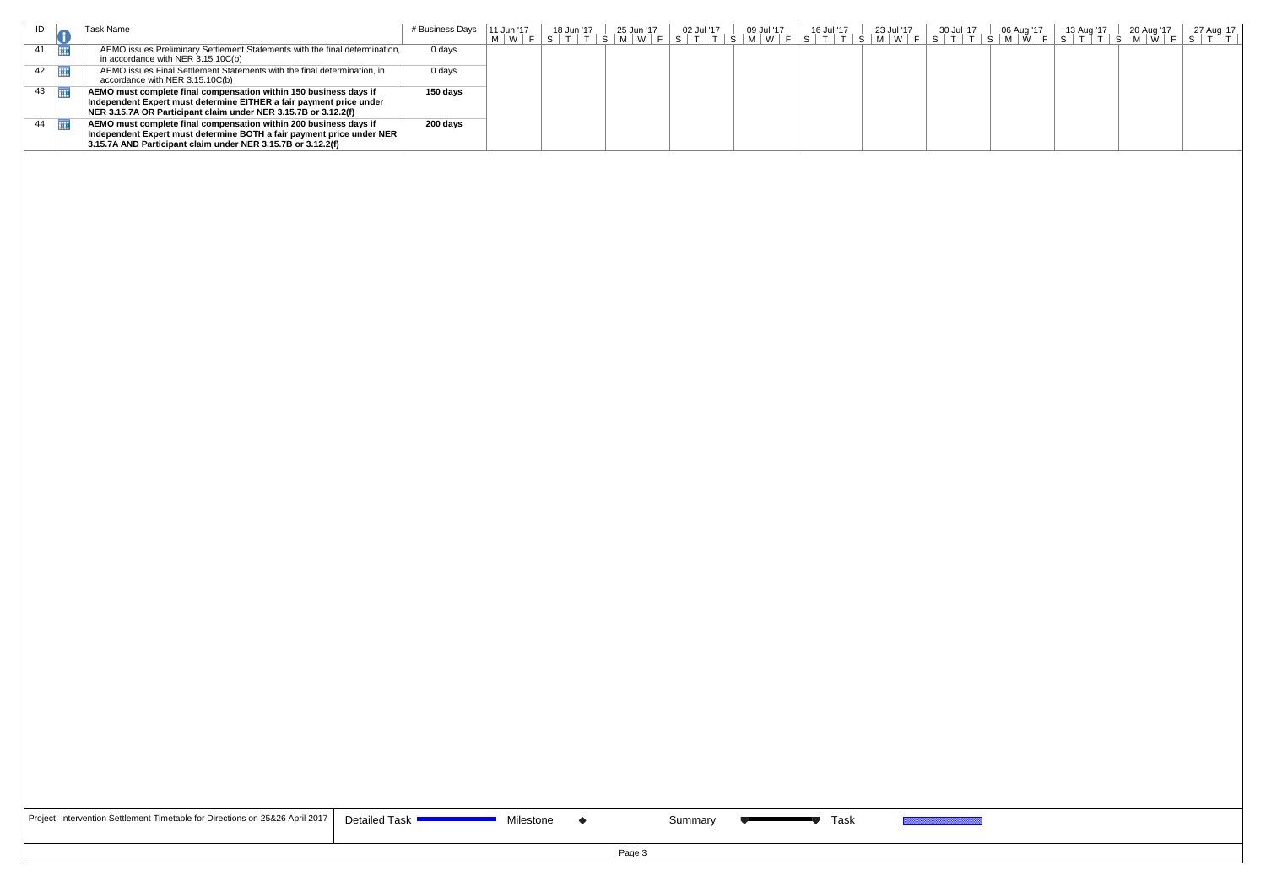|                         | <sup>-</sup> ask Name                                                                                                                                                                                       | # Business Days | 11 Jun '17 | 18 Jun '17 | 25 Jun '17 | 02 Jul '17 | 09 Jul '17<br>$ \mid$ S $\mid$ M $\mid$ W $\mid$ | 16 Jul '17 | 23 Jul '17<br> S T T S M W F' | 30 Jul '17 | 06 Aug '17<br>M | 13 Aug '17 | 20 Aug '1 | 27 Aug '17 |
|-------------------------|-------------------------------------------------------------------------------------------------------------------------------------------------------------------------------------------------------------|-----------------|------------|------------|------------|------------|--------------------------------------------------|------------|-------------------------------|------------|-----------------|------------|-----------|------------|
| 41                      | AEMO issues Preliminary Settlement Statements with the final determination,<br>in accordance with NER $3.15.10C(b)$                                                                                         | 0 days          |            |            |            |            |                                                  |            |                               |            |                 |            |           |            |
| $42 \quad \boxed{11}$   | AEMO issues Final Settlement Statements with the final determination, in<br>accordance with NER 3.15.10C(b)                                                                                                 | 0 days          |            |            |            |            |                                                  |            |                               |            |                 |            |           |            |
| $43 \quad \blacksquare$ | AEMO must complete final compensation within 150 business days if<br>Independent Expert must determine EITHER a fair payment price under<br>NER 3.15.7A OR Participant claim under NER 3.15.7B or 3.12.2(f) | 150 days        |            |            |            |            |                                                  |            |                               |            |                 |            |           |            |
| 44                      | AEMO must complete final compensation within 200 business days if<br>Independent Expert must determine BOTH a fair payment price under NER<br>3.15.7A AND Participant claim under NER 3.15.7B or 3.12.2(f)  | 200 days        |            |            |            |            |                                                  |            |                               |            |                 |            |           |            |
|                         |                                                                                                                                                                                                             |                 |            |            |            |            |                                                  |            |                               |            |                 |            |           |            |

| Project: Intervention Settlement Timetable for Directions on 25&26 April 2017 |
|-------------------------------------------------------------------------------|
|-------------------------------------------------------------------------------|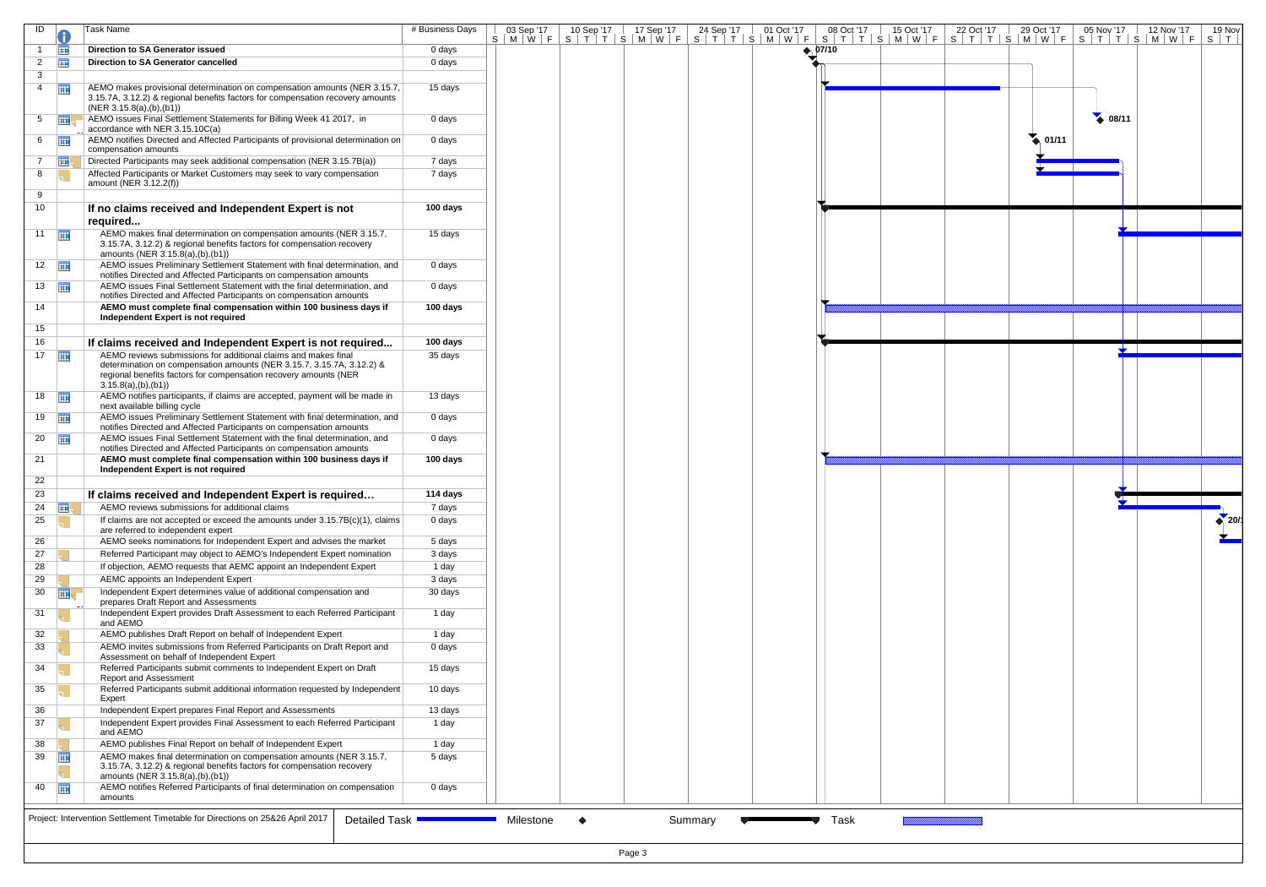| ID                    |             | <b>Task Name</b>                                                                                                                                                                                                                    | # Business Days  | 03 Sep '17 | 10 Sep '17<br>S M W F S T T S M W F S T T S M W F S T T S M W F S T T S M W F S T T S M W F S T T S M W F S T | 17 Sep '17 | 24 Sep '17 | 01 Oct '17 | 08 Oct '17              | 15 Oct '17 | 22 Oct '17 | 29 Oct '17      | 05 Nov '17      | 12 Nov '17 | 19 Nov                |
|-----------------------|-------------|-------------------------------------------------------------------------------------------------------------------------------------------------------------------------------------------------------------------------------------|------------------|------------|---------------------------------------------------------------------------------------------------------------|------------|------------|------------|-------------------------|------------|------------|-----------------|-----------------|------------|-----------------------|
|                       | 亜           | <b>Direction to SA Generator issued</b>                                                                                                                                                                                             | 0 days           |            |                                                                                                               |            |            |            | $\leftrightarrow$ 07/10 |            |            |                 |                 |            |                       |
| $\overline{2}$        | <b>THE</b>  | Direction to SA Generator cancelled                                                                                                                                                                                                 | 0 days           |            |                                                                                                               |            |            |            |                         |            |            |                 |                 |            |                       |
| 3                     |             |                                                                                                                                                                                                                                     |                  |            |                                                                                                               |            |            |            |                         |            |            |                 |                 |            |                       |
| 4                     | 再           | AEMO makes provisional determination on compensation amounts (NER 3.15.7,<br>3.15.7A, 3.12.2) & regional benefits factors for compensation recovery amounts<br>(NER 3.15.8(a), (b), (b1))                                           | 15 days          |            |                                                                                                               |            |            |            |                         |            |            |                 |                 |            |                       |
| 5 <sup>5</sup>        | 靈           | AEMO issues Final Settlement Statements for Billing Week 41 2017, in<br>accordance with NER 3.15.10C(a)                                                                                                                             | 0 days           |            |                                                                                                               |            |            |            |                         |            |            |                 | $\bullet$ 08/11 |            |                       |
| 6                     | <b>HIL</b>  | AEMO notifies Directed and Affected Participants of provisional determination on<br>compensation amounts                                                                                                                            | 0 days           |            |                                                                                                               |            |            |            |                         |            |            | $\bullet$ 01/11 |                 |            |                       |
| $\overline{7}$        | ⊞           | Directed Participants may seek additional compensation (NER 3.15.7B(a))                                                                                                                                                             | 7 days           |            |                                                                                                               |            |            |            |                         |            |            |                 |                 |            |                       |
| 8                     |             | Affected Participants or Market Customers may seek to vary compensation                                                                                                                                                             | 7 days           |            |                                                                                                               |            |            |            |                         |            |            |                 |                 |            |                       |
| 9                     |             | amount (NER 3.12.2(f))                                                                                                                                                                                                              |                  |            |                                                                                                               |            |            |            |                         |            |            |                 |                 |            |                       |
| 10                    |             |                                                                                                                                                                                                                                     | 100 days         |            |                                                                                                               |            |            |            |                         |            |            |                 |                 |            |                       |
|                       |             | If no claims received and Independent Expert is not<br>required                                                                                                                                                                     |                  |            |                                                                                                               |            |            |            |                         |            |            |                 |                 |            |                       |
|                       | 11          | AEMO makes final determination on compensation amounts (NER 3.15.7,<br>3.15.7A, 3.12.2) & regional benefits factors for compensation recovery<br>amounts (NER 3.15.8(a),(b),(b1))                                                   | 15 days          |            |                                                                                                               |            |            |            |                         |            |            |                 |                 |            |                       |
| $12$ $\Box$           |             | AEMO issues Preliminary Settlement Statement with final determination, and<br>notifies Directed and Affected Participants on compensation amounts                                                                                   | 0 days           |            |                                                                                                               |            |            |            |                         |            |            |                 |                 |            |                       |
| $13 \quad \boxed{11}$ |             | AEMO issues Final Settlement Statement with the final determination, and<br>notifies Directed and Affected Participants on compensation amounts                                                                                     | 0 days           |            |                                                                                                               |            |            |            |                         |            |            |                 |                 |            |                       |
| 14                    |             | AEMO must complete final compensation within 100 business days if<br>Independent Expert is not required                                                                                                                             | 100 days         |            |                                                                                                               |            |            |            |                         |            |            |                 |                 |            |                       |
| 15                    |             |                                                                                                                                                                                                                                     |                  |            |                                                                                                               |            |            |            |                         |            |            |                 |                 |            |                       |
| 16                    |             | If claims received and Independent Expert is not required                                                                                                                                                                           | 100 days         |            |                                                                                                               |            |            |            |                         |            |            |                 |                 |            |                       |
| 17                    |             | AEMO reviews submissions for additional claims and makes final<br>determination on compensation amounts (NER 3.15.7, 3.15.7A, 3.12.2) &<br>regional benefits factors for compensation recovery amounts (NER<br>3.15.8(a), (b), (b1) | 35 days          |            |                                                                                                               |            |            |            |                         |            |            |                 |                 |            |                       |
| 18 $\Box$             |             | AEMO notifies participants, if claims are accepted, payment will be made in<br>next available billing cycle                                                                                                                         | 13 days          |            |                                                                                                               |            |            |            |                         |            |            |                 |                 |            |                       |
| $19$ $\frac{1}{2}$    |             | AEMO issues Preliminary Settlement Statement with final determination, and<br>notifies Directed and Affected Participants on compensation amounts                                                                                   | 0 days           |            |                                                                                                               |            |            |            |                         |            |            |                 |                 |            |                       |
| $20 \quad \boxed{11}$ |             | AEMO issues Final Settlement Statement with the final determination, and<br>notifies Directed and Affected Participants on compensation amounts                                                                                     | 0 days           |            |                                                                                                               |            |            |            |                         |            |            |                 |                 |            |                       |
| 21                    |             | AEMO must complete final compensation within 100 business days if<br>Independent Expert is not required                                                                                                                             | 100 days         |            |                                                                                                               |            |            |            |                         |            |            |                 |                 |            |                       |
| 22<br>23              |             |                                                                                                                                                                                                                                     | 114 days         |            |                                                                                                               |            |            |            |                         |            |            |                 |                 |            |                       |
|                       |             | If claims received and Independent Expert is required<br>AEMO reviews submissions for additional claims                                                                                                                             |                  |            |                                                                                                               |            |            |            |                         |            |            |                 |                 |            |                       |
| 24<br>25              | ⊞           | If claims are not accepted or exceed the amounts under $3.15.7B(c)(1)$ , claims                                                                                                                                                     | 7 days<br>0 days |            |                                                                                                               |            |            |            |                         |            |            |                 |                 |            | $\leftrightarrow$ 20/ |
| 26                    |             | are referred to independent expert<br>AEMO seeks nominations for Independent Expert and advises the market                                                                                                                          | 5 days           |            |                                                                                                               |            |            |            |                         |            |            |                 |                 |            |                       |
| 27                    |             | Referred Participant may object to AEMO's Independent Expert nomination                                                                                                                                                             | 3 days           |            |                                                                                                               |            |            |            |                         |            |            |                 |                 |            |                       |
| 28                    |             | If objection, AEMO requests that AEMC appoint an Independent Expert                                                                                                                                                                 | 1 day            |            |                                                                                                               |            |            |            |                         |            |            |                 |                 |            |                       |
| 29                    |             | AEMC appoints an Independent Expert                                                                                                                                                                                                 | 3 days           |            |                                                                                                               |            |            |            |                         |            |            |                 |                 |            |                       |
| 30                    | <b>THE</b>  | Independent Expert determines value of additional compensation and                                                                                                                                                                  | 30 days          |            |                                                                                                               |            |            |            |                         |            |            |                 |                 |            |                       |
| 31                    |             | prepares Draft Report and Assessments<br>Independent Expert provides Draft Assessment to each Referred Participant                                                                                                                  | 1 day            |            |                                                                                                               |            |            |            |                         |            |            |                 |                 |            |                       |
|                       |             | and AEMO                                                                                                                                                                                                                            |                  |            |                                                                                                               |            |            |            |                         |            |            |                 |                 |            |                       |
| 32                    |             | AEMO publishes Draft Report on behalf of Independent Expert                                                                                                                                                                         | 1 day            |            |                                                                                                               |            |            |            |                         |            |            |                 |                 |            |                       |
| 33                    |             | AEMO invites submissions from Referred Participants on Draft Report and<br>Assessment on behalf of Independent Expert                                                                                                               | 0 days           |            |                                                                                                               |            |            |            |                         |            |            |                 |                 |            |                       |
| 34                    |             | Referred Participants submit comments to Independent Expert on Draft<br><b>Report and Assessment</b>                                                                                                                                | 15 days          |            |                                                                                                               |            |            |            |                         |            |            |                 |                 |            |                       |
| 35                    |             | Referred Participants submit additional information requested by Independent<br>Expert                                                                                                                                              | 10 days          |            |                                                                                                               |            |            |            |                         |            |            |                 |                 |            |                       |
| 36<br>37              |             | Independent Expert prepares Final Report and Assessments<br>Independent Expert provides Final Assessment to each Referred Participant                                                                                               | 13 days<br>1 day |            |                                                                                                               |            |            |            |                         |            |            |                 |                 |            |                       |
|                       |             | and AEMO                                                                                                                                                                                                                            |                  |            |                                                                                                               |            |            |            |                         |            |            |                 |                 |            |                       |
| 38<br>39              |             | AEMO publishes Final Report on behalf of Independent Expert<br>AEMO makes final determination on compensation amounts (NER 3.15.7,                                                                                                  | 1 day<br>5 days  |            |                                                                                                               |            |            |            |                         |            |            |                 |                 |            |                       |
|                       | 亜           | 3.15.7A, 3.12.2) & regional benefits factors for compensation recovery<br>amounts (NER 3.15.8(a),(b),(b1))                                                                                                                          |                  |            |                                                                                                               |            |            |            |                         |            |            |                 |                 |            |                       |
|                       | $40$ $\Box$ | AEMO notifies Referred Participants of final determination on compensation<br>amounts                                                                                                                                               | 0 days           |            |                                                                                                               |            |            |            |                         |            |            |                 |                 |            |                       |
|                       |             | Project: Intervention Settlement Timetable for Directions on 25&26 April 2017<br><b>Detailed Task</b>                                                                                                                               |                  | Milestone  | $\bullet$                                                                                                     |            | Summary    |            | Task                    |            |            |                 |                 |            |                       |
|                       |             |                                                                                                                                                                                                                                     |                  |            |                                                                                                               |            |            |            |                         |            |            |                 |                 |            |                       |
|                       |             |                                                                                                                                                                                                                                     |                  |            |                                                                                                               | Page 3     |            |            |                         |            |            |                 |                 |            |                       |

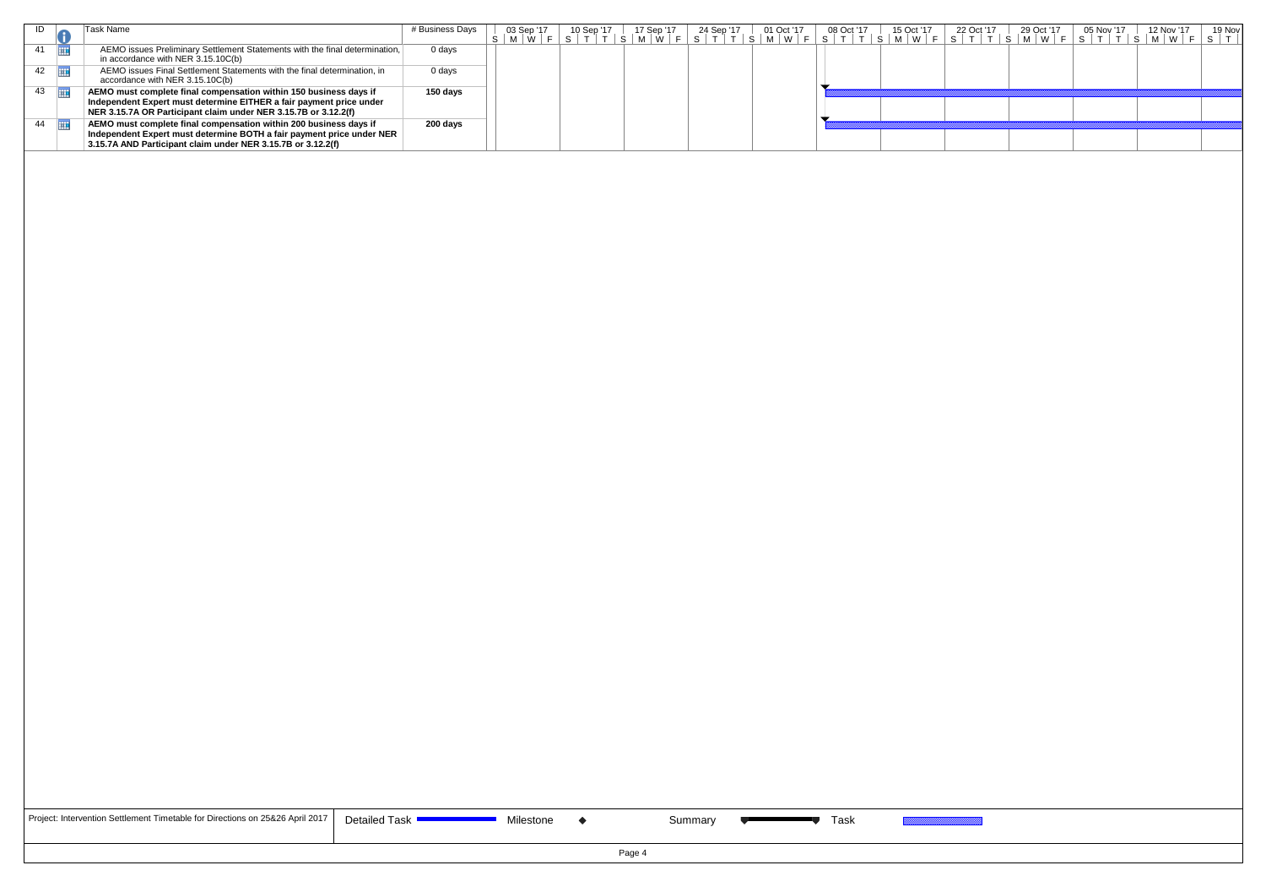|                       | Task Name                                                                                                                                                                                                   | # Business Days | 03 Sep '17                                                                                          | 10 Sep '17 | 17 Sep '17 | 24 Sep '17 | 01 Oct '17 | 08 Oct '17 | 15 Oct '17 | 22 Oct '17 | 29 Oct '17 | 05 Nov '17 | 12 Nov '17 | 19 Nov |
|-----------------------|-------------------------------------------------------------------------------------------------------------------------------------------------------------------------------------------------------------|-----------------|-----------------------------------------------------------------------------------------------------|------------|------------|------------|------------|------------|------------|------------|------------|------------|------------|--------|
|                       |                                                                                                                                                                                                             |                 | S M W F S T T S M W F S T T S M W F S M W F S T T S M W F S T T S M W F S T T S M W F S T T S M W F |            |            |            |            |            |            |            |            |            |            |        |
| 41 $\Box$             | AEMO issues Preliminary Settlement Statements with the final determination,<br>in accordance with NER 3.15.10C(b)                                                                                           | 0 days          |                                                                                                     |            |            |            |            |            |            |            |            |            |            |        |
| $42 \quad \boxed{11}$ | AEMO issues Final Settlement Statements with the final determination, in<br>accordance with NER 3.15.10C(b)                                                                                                 | 0 days          |                                                                                                     |            |            |            |            |            |            |            |            |            |            |        |
| $43 \quad \boxed{11}$ | AEMO must complete final compensation within 150 business days if<br>Independent Expert must determine EITHER a fair payment price under<br>NER 3.15.7A OR Participant claim under NER 3.15.7B or 3.12.2(f) | 150 days        |                                                                                                     |            |            |            |            |            |            |            |            |            |            |        |
| 44                    | AEMO must complete final compensation within 200 business days if<br>Independent Expert must determine BOTH a fair payment price under NER<br>3.15.7A AND Participant claim under NER 3.15.7B or 3.12.2(f)  | 200 days        |                                                                                                     |            |            |            |            |            |            |            |            |            |            |        |
|                       |                                                                                                                                                                                                             |                 |                                                                                                     |            |            |            |            |            |            |            |            |            |            |        |

| Project: Intervention Settlement Timetable for Directions on 25&26 April 2017   D |
|-----------------------------------------------------------------------------------|
|-----------------------------------------------------------------------------------|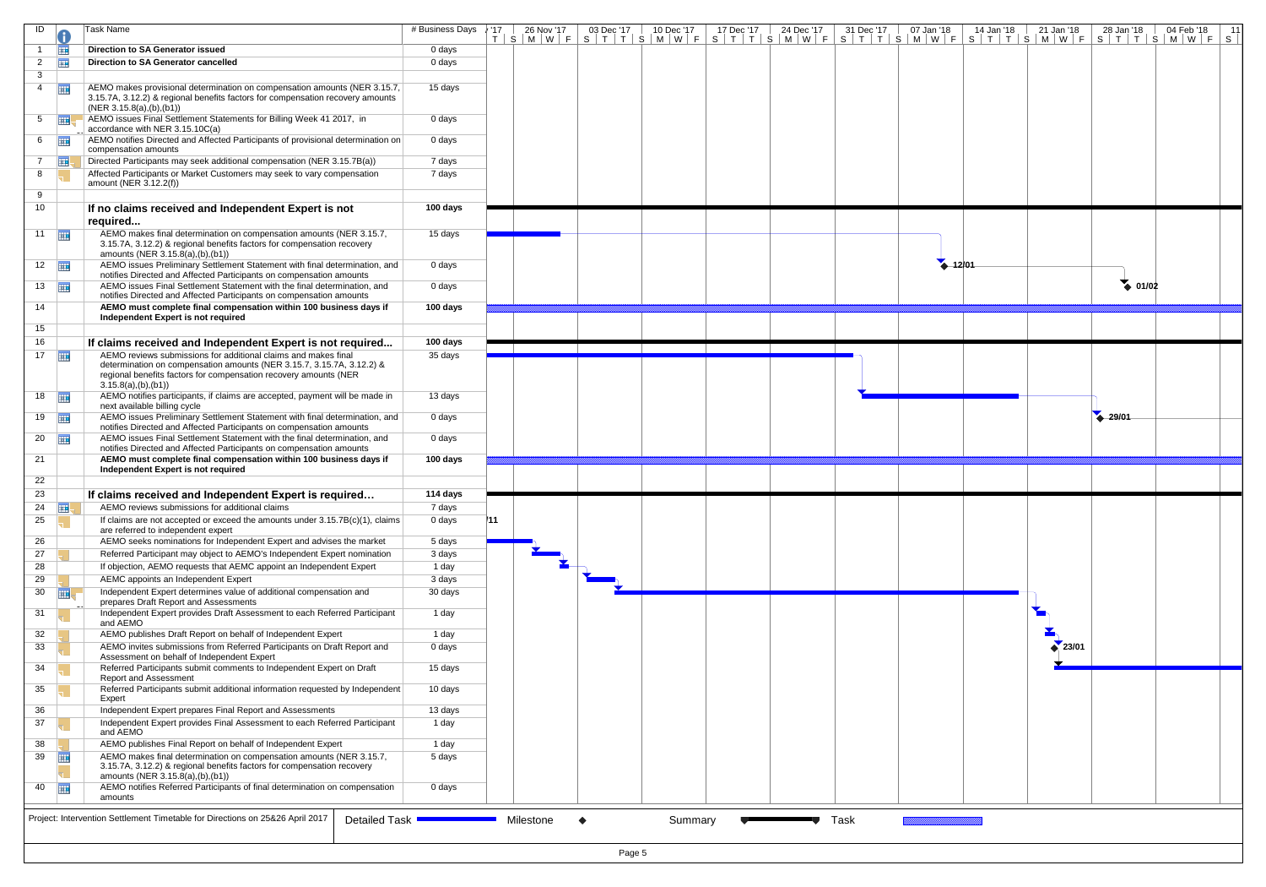| ID                    |            | Task Name                                                                                                                                                                                 | # Business Days     | /17 | 26 Nov '17 | 03 Dec '17<br>10 Dec '17 | 24 Dec '17<br>17 Dec '17 | 31 Dec '17 | 07 Jan '18  | 14 Jan '18 | 21 Jan '18<br>28 Jan '18<br>T   S   M   W   F   S   T   T   S   M   W   F   S   T   T   S   M   W   F   S   T   T   S   M   W   F   S   T   T   T   S   M   W   F   S   T   T   S   M   W   F   S | 04 Feb '18<br>11 |
|-----------------------|------------|-------------------------------------------------------------------------------------------------------------------------------------------------------------------------------------------|---------------------|-----|------------|--------------------------|--------------------------|------------|-------------|------------|---------------------------------------------------------------------------------------------------------------------------------------------------------------------------------------------------|------------------|
|                       | 亜          | <b>Direction to SA Generator issued</b>                                                                                                                                                   | 0 days              |     |            |                          |                          |            |             |            |                                                                                                                                                                                                   |                  |
| $\overline{2}$        | 丽          | <b>Direction to SA Generator cancelled</b>                                                                                                                                                | 0 days              |     |            |                          |                          |            |             |            |                                                                                                                                                                                                   |                  |
| 3                     |            |                                                                                                                                                                                           |                     |     |            |                          |                          |            |             |            |                                                                                                                                                                                                   |                  |
| $\overline{4}$        | 軍          | AEMO makes provisional determination on compensation amounts (NER 3.15.7,<br>3.15.7A, 3.12.2) & regional benefits factors for compensation recovery amounts<br>(NER 3.15.8(a), (b), (b1)) | 15 days             |     |            |                          |                          |            |             |            |                                                                                                                                                                                                   |                  |
| 5                     | ⊞          | AEMO issues Final Settlement Statements for Billing Week 41 2017, in<br>accordance with NER 3.15.10C(a)                                                                                   | 0 days              |     |            |                          |                          |            |             |            |                                                                                                                                                                                                   |                  |
| 6                     | 亜          | AEMO notifies Directed and Affected Participants of provisional determination on<br>compensation amounts                                                                                  | 0 days              |     |            |                          |                          |            |             |            |                                                                                                                                                                                                   |                  |
| $\overline{7}$        | ⊞、         | Directed Participants may seek additional compensation (NER 3.15.7B(a))                                                                                                                   | 7 days              |     |            |                          |                          |            |             |            |                                                                                                                                                                                                   |                  |
| 8                     |            | Affected Participants or Market Customers may seek to vary compensation                                                                                                                   | 7 days              |     |            |                          |                          |            |             |            |                                                                                                                                                                                                   |                  |
| 9                     |            | amount (NER 3.12.2(f))                                                                                                                                                                    |                     |     |            |                          |                          |            |             |            |                                                                                                                                                                                                   |                  |
| 10 <sup>1</sup>       |            | If no claims received and Independent Expert is not                                                                                                                                       | 100 days            |     |            |                          |                          |            |             |            |                                                                                                                                                                                                   |                  |
|                       |            | required                                                                                                                                                                                  |                     |     |            |                          |                          |            |             |            |                                                                                                                                                                                                   |                  |
| 11                    |            | AEMO makes final determination on compensation amounts (NER 3.15.7,<br>3.15.7A, 3.12.2) & regional benefits factors for compensation recovery<br>amounts (NER 3.15.8(a),(b),(b1))         | 15 days             |     |            |                          |                          |            |             |            |                                                                                                                                                                                                   |                  |
| $12 \quad \boxed{11}$ |            | AEMO issues Preliminary Settlement Statement with final determination, and<br>notifies Directed and Affected Participants on compensation amounts                                         | 0 days              |     |            |                          |                          |            | $4 - 12/01$ |            |                                                                                                                                                                                                   |                  |
| 13 $\frac{1}{2}$      |            | AEMO issues Final Settlement Statement with the final determination, and<br>notifies Directed and Affected Participants on compensation amounts                                           | 0 days              |     |            |                          |                          |            |             |            | $\bullet$ 01/02                                                                                                                                                                                   |                  |
| 14                    |            | AEMO must complete final compensation within 100 business days if<br>Independent Expert is not required                                                                                   | 100 days            |     |            |                          |                          |            |             |            |                                                                                                                                                                                                   |                  |
| 15                    |            |                                                                                                                                                                                           |                     |     |            |                          |                          |            |             |            |                                                                                                                                                                                                   |                  |
| 16<br>17              |            | If claims received and Independent Expert is not required<br>AEMO reviews submissions for additional claims and makes final                                                               | 100 days<br>35 days |     |            |                          |                          |            |             |            |                                                                                                                                                                                                   |                  |
|                       | 亜          | determination on compensation amounts (NER 3.15.7, 3.15.7A, 3.12.2) &<br>regional benefits factors for compensation recovery amounts (NER<br>3.15.8(a), (b), (b1)                         |                     |     |            |                          |                          |            |             |            |                                                                                                                                                                                                   |                  |
| $18$ $\frac{1}{2}$    |            | AEMO notifies participants, if claims are accepted, payment will be made in<br>next available billing cycle                                                                               | 13 days             |     |            |                          |                          |            |             |            |                                                                                                                                                                                                   |                  |
| $19$ $\frac{1}{2}$    |            | AEMO issues Preliminary Settlement Statement with final determination, and<br>notifies Directed and Affected Participants on compensation amounts                                         | 0 days              |     |            |                          |                          |            |             |            | 29/01                                                                                                                                                                                             |                  |
| $20$                  |            | AEMO issues Final Settlement Statement with the final determination, and<br>notifies Directed and Affected Participants on compensation amounts                                           | 0 days              |     |            |                          |                          |            |             |            |                                                                                                                                                                                                   |                  |
| 21                    |            | AEMO must complete final compensation within 100 business days if<br>Independent Expert is not required                                                                                   | 100 days            |     |            |                          |                          |            |             |            |                                                                                                                                                                                                   |                  |
| 22                    |            |                                                                                                                                                                                           |                     |     |            |                          |                          |            |             |            |                                                                                                                                                                                                   |                  |
| 23                    |            | If claims received and Independent Expert is required                                                                                                                                     | 114 days            |     |            |                          |                          |            |             |            |                                                                                                                                                                                                   |                  |
| 24                    | <b>THE</b> | AEMO reviews submissions for additional claims                                                                                                                                            | 7 days              |     |            |                          |                          |            |             |            |                                                                                                                                                                                                   |                  |
| 25                    |            | If claims are not accepted or exceed the amounts under $3.15.7B(c)(1)$ , claims<br>are referred to independent expert                                                                     | 0 days              | 111 |            |                          |                          |            |             |            |                                                                                                                                                                                                   |                  |
| 26<br>27              |            | AEMO seeks nominations for Independent Expert and advises the market<br>Referred Participant may object to AEMO's Independent Expert nomination                                           | 5 days<br>3 days    |     |            |                          |                          |            |             |            |                                                                                                                                                                                                   |                  |
| 28                    |            | If objection, AEMO requests that AEMC appoint an Independent Expert                                                                                                                       | 1 day               |     |            |                          |                          |            |             |            |                                                                                                                                                                                                   |                  |
| 29                    |            | AEMC appoints an Independent Expert                                                                                                                                                       | 3 days              |     |            |                          |                          |            |             |            |                                                                                                                                                                                                   |                  |
| 30                    | 亜          | Independent Expert determines value of additional compensation and                                                                                                                        | 30 days             |     |            |                          |                          |            |             |            |                                                                                                                                                                                                   |                  |
| 31                    |            | prepares Draft Report and Assessments<br>Independent Expert provides Draft Assessment to each Referred Participant<br>and AEMO                                                            | 1 day               |     |            |                          |                          |            |             |            |                                                                                                                                                                                                   |                  |
| 32                    |            | AEMO publishes Draft Report on behalf of Independent Expert                                                                                                                               | 1 day               |     |            |                          |                          |            |             |            |                                                                                                                                                                                                   |                  |
| 33                    |            | AEMO invites submissions from Referred Participants on Draft Report and                                                                                                                   | 0 days              |     |            |                          |                          |            |             |            | 23/01                                                                                                                                                                                             |                  |
| 34                    |            | Assessment on behalf of Independent Expert<br>Referred Participants submit comments to Independent Expert on Draft                                                                        | 15 days             |     |            |                          |                          |            |             |            |                                                                                                                                                                                                   |                  |
| 35                    |            | Report and Assessment<br>Referred Participants submit additional information requested by Independent                                                                                     | 10 days             |     |            |                          |                          |            |             |            |                                                                                                                                                                                                   |                  |
| 36                    |            | Expert<br>Independent Expert prepares Final Report and Assessments                                                                                                                        | 13 days             |     |            |                          |                          |            |             |            |                                                                                                                                                                                                   |                  |
| 37                    |            | Independent Expert provides Final Assessment to each Referred Participant<br>and AEMO                                                                                                     | 1 day               |     |            |                          |                          |            |             |            |                                                                                                                                                                                                   |                  |
| 38                    |            | AEMO publishes Final Report on behalf of Independent Expert                                                                                                                               | 1 day               |     |            |                          |                          |            |             |            |                                                                                                                                                                                                   |                  |
| 39                    | <b>THE</b> | AEMO makes final determination on compensation amounts (NER 3.15.7,<br>3.15.7A, 3.12.2) & regional benefits factors for compensation recovery<br>amounts (NER 3.15.8(a),(b),(b1))         | 5 days              |     |            |                          |                          |            |             |            |                                                                                                                                                                                                   |                  |
| 40                    | 亜          | AEMO notifies Referred Participants of final determination on compensation<br>amounts                                                                                                     | 0 days              |     |            |                          |                          |            |             |            |                                                                                                                                                                                                   |                  |
|                       |            |                                                                                                                                                                                           |                     |     |            |                          |                          |            |             |            |                                                                                                                                                                                                   |                  |
|                       |            | Project: Intervention Settlement Timetable for Directions on 25&26 April 2017<br>Detailed Task                                                                                            |                     |     | Milestone  | Summary<br>$\bullet$     |                          | Task       |             |            |                                                                                                                                                                                                   |                  |
|                       |            |                                                                                                                                                                                           |                     |     |            | Page 5                   |                          |            |             |            |                                                                                                                                                                                                   |                  |

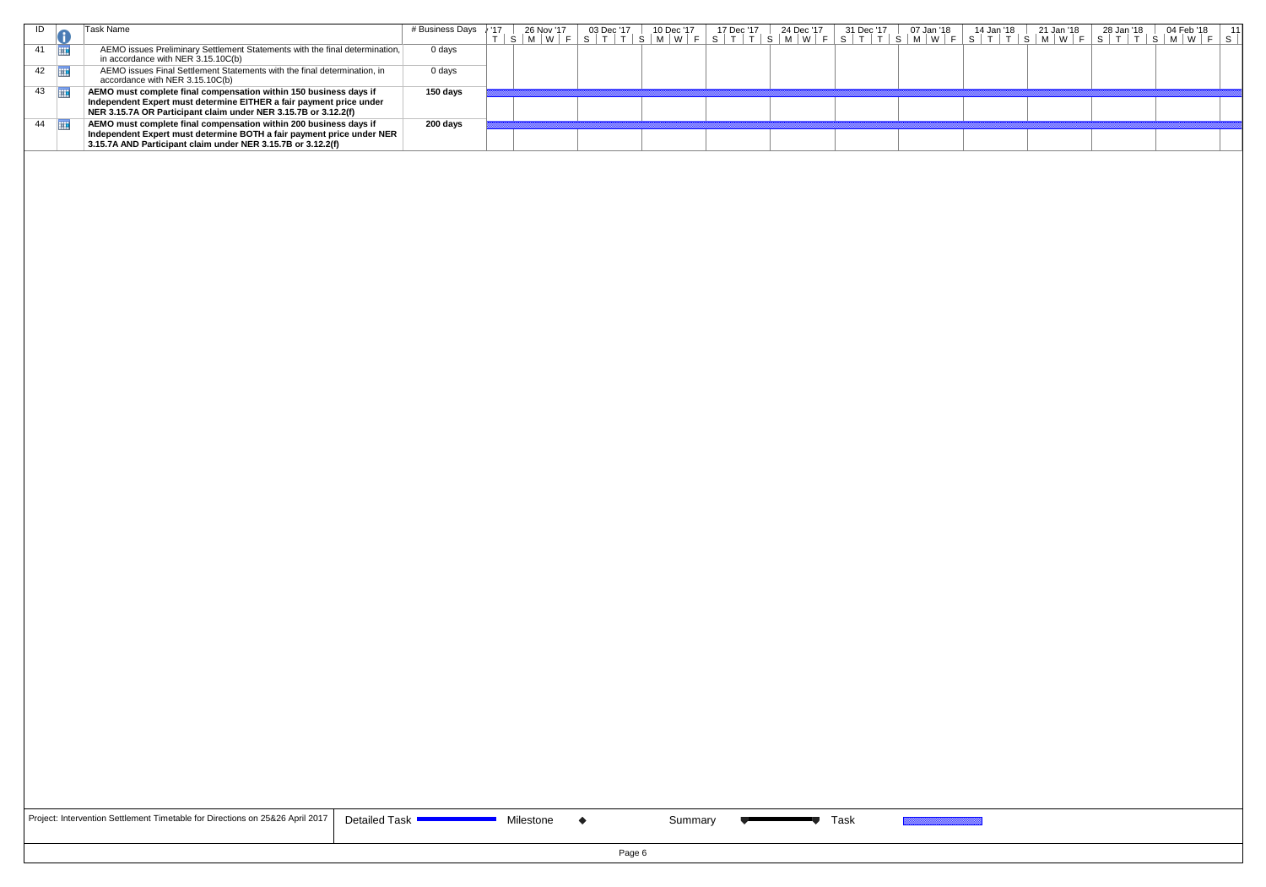|                 | ask Name                                                                                                                                                                                                    | # Business Days | 26 Nov '17<br> M W F <br>∣S. | 03 Dec '17 | 10 Dec '17<br>$^{\circ}$ S $^{\circ}$ | 17 Dec '17 | 24 Dec '17 | 31 Dec '17 | 07 Jan '18 | 14 Jan '18 | 21 Jan '18 | 28 Jan '18 | 04 Feb '18<br>$\mid M \mid W \mid F \mid S \mid T \mid T \mid S \mid M \mid W \mid F \mid S \mid T \mid T \mid S \mid M \mid W \mid F \mid S \mid T \mid T \mid S \mid M \mid W \mid F \mid S \mid T \mid T \mid S \mid M \mid W \mid F \mid S$ |  |
|-----------------|-------------------------------------------------------------------------------------------------------------------------------------------------------------------------------------------------------------|-----------------|------------------------------|------------|---------------------------------------|------------|------------|------------|------------|------------|------------|------------|-------------------------------------------------------------------------------------------------------------------------------------------------------------------------------------------------------------------------------------------------|--|
| 41              | AEMO issues Preliminary Settlement Statements with the final determination,<br>in accordance with NER $3.15.10C(b)$                                                                                         | 0 days          |                              |            |                                       |            |            |            |            |            |            |            |                                                                                                                                                                                                                                                 |  |
| $42 \quad \Box$ | AEMO issues Final Settlement Statements with the final determination, in<br>accordance with NER 3.15.10C(b)                                                                                                 | 0 days          |                              |            |                                       |            |            |            |            |            |            |            |                                                                                                                                                                                                                                                 |  |
| 43              | AEMO must complete final compensation within 150 business days if<br>Independent Expert must determine EITHER a fair payment price under<br>NER 3.15.7A OR Participant claim under NER 3.15.7B or 3.12.2(f) | 150 days        |                              |            |                                       |            |            |            |            |            |            |            |                                                                                                                                                                                                                                                 |  |
| 44              | AEMO must complete final compensation within 200 business days if<br>Independent Expert must determine BOTH a fair payment price under NER<br>3.15.7A AND Participant claim under NER 3.15.7B or 3.12.2(f)  | 200 days        |                              |            |                                       |            |            |            |            |            |            |            |                                                                                                                                                                                                                                                 |  |
|                 |                                                                                                                                                                                                             |                 |                              |            |                                       |            |            |            |            |            |            |            |                                                                                                                                                                                                                                                 |  |

| Project: Intervention Settlement Timetable for Directions on 25&26 April 2017 $\vert$ De |  |
|------------------------------------------------------------------------------------------|--|
|------------------------------------------------------------------------------------------|--|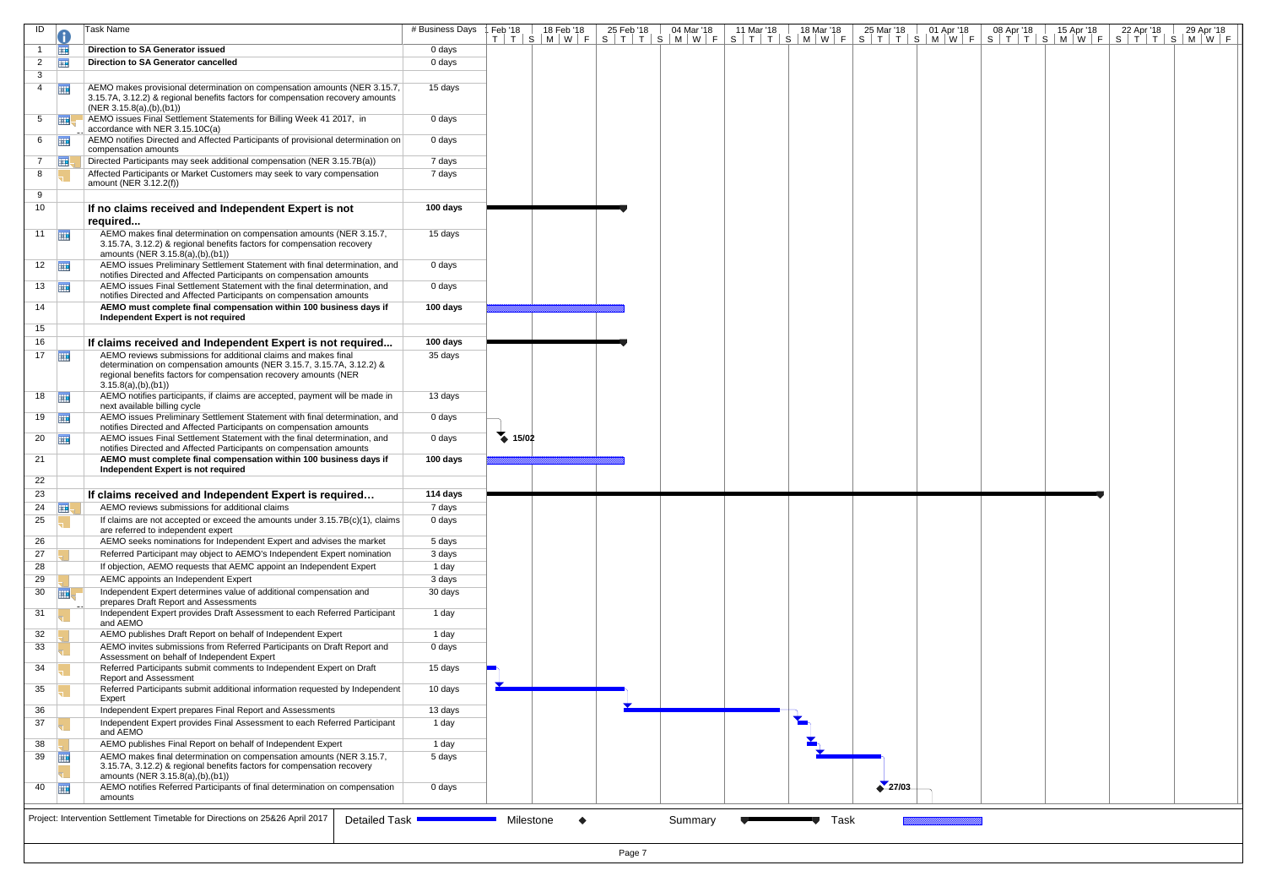| ID                    |                         | Task Name                                                                                                                                                                                                                           | # Business Days | Feb '18             | 18 Feb '18 | 25 Feb '18<br>04 Mar '18<br>T T S M W F S T T S M W F S T T S M W F S T T S M W F S T T S M W F S T T S M W F | 11 Mar '18 | 18 Mar '18 | 25 Mar '18 | 01 Apr '18 | 08 Apr '18 | 15 Apr '18 | 22 Apr '18 | 29 Apr '18 |
|-----------------------|-------------------------|-------------------------------------------------------------------------------------------------------------------------------------------------------------------------------------------------------------------------------------|-----------------|---------------------|------------|---------------------------------------------------------------------------------------------------------------|------------|------------|------------|------------|------------|------------|------------|------------|
|                       | 亜                       | <b>Direction to SA Generator issued</b>                                                                                                                                                                                             | 0 days          |                     |            |                                                                                                               |            |            |            |            |            |            |            |            |
| $\overline{2}$        | 亜                       | Direction to SA Generator cancelled                                                                                                                                                                                                 | 0 days          |                     |            |                                                                                                               |            |            |            |            |            |            |            |            |
| 3                     |                         |                                                                                                                                                                                                                                     |                 |                     |            |                                                                                                               |            |            |            |            |            |            |            |            |
| $\overline{4}$        | $\overline{1}$          | AEMO makes provisional determination on compensation amounts (NER 3.15.7,<br>3.15.7A, 3.12.2) & regional benefits factors for compensation recovery amounts<br>(NER 3.15.8(a), (b), (b1))                                           | 15 days         |                     |            |                                                                                                               |            |            |            |            |            |            |            |            |
| 5 <sup>5</sup>        | 再                       | AEMO issues Final Settlement Statements for Billing Week 41 2017, in<br>accordance with NER 3.15.10C(a)                                                                                                                             | 0 days          |                     |            |                                                                                                               |            |            |            |            |            |            |            |            |
| $6 \quad \boxed{11}$  |                         | AEMO notifies Directed and Affected Participants of provisional determination on<br>compensation amounts                                                                                                                            | 0 days          |                     |            |                                                                                                               |            |            |            |            |            |            |            |            |
| $7^{\circ}$           | $\overline{\mathbf{H}}$ | Directed Participants may seek additional compensation (NER 3.15.7B(a))                                                                                                                                                             | 7 days          |                     |            |                                                                                                               |            |            |            |            |            |            |            |            |
| 8                     |                         | Affected Participants or Market Customers may seek to vary compensation<br>amount (NER 3.12.2(f))                                                                                                                                   | 7 days          |                     |            |                                                                                                               |            |            |            |            |            |            |            |            |
| 9<br>10               |                         | If no claims received and Independent Expert is not<br>required                                                                                                                                                                     | 100 days        |                     |            |                                                                                                               |            |            |            |            |            |            |            |            |
| 11 $\blacksquare$     |                         | AEMO makes final determination on compensation amounts (NER 3.15.7,<br>3.15.7A, 3.12.2) & regional benefits factors for compensation recovery<br>amounts (NER 3.15.8(a),(b),(b1))                                                   | 15 days         |                     |            |                                                                                                               |            |            |            |            |            |            |            |            |
| $12 \quad \boxed{11}$ |                         | AEMO issues Preliminary Settlement Statement with final determination, and<br>notifies Directed and Affected Participants on compensation amounts                                                                                   | 0 days          |                     |            |                                                                                                               |            |            |            |            |            |            |            |            |
| $13 \quad \boxed{11}$ |                         | AEMO issues Final Settlement Statement with the final determination, and<br>notifies Directed and Affected Participants on compensation amounts                                                                                     | 0 days          |                     |            |                                                                                                               |            |            |            |            |            |            |            |            |
| 14                    |                         | AEMO must complete final compensation within 100 business days if<br>Independent Expert is not required                                                                                                                             | 100 days        |                     |            |                                                                                                               |            |            |            |            |            |            |            |            |
| 15                    |                         |                                                                                                                                                                                                                                     |                 |                     |            |                                                                                                               |            |            |            |            |            |            |            |            |
| 16                    |                         | If claims received and Independent Expert is not required                                                                                                                                                                           | 100 days        |                     |            |                                                                                                               |            |            |            |            |            |            |            |            |
| 17 <sub>1</sub>       | 再                       | AEMO reviews submissions for additional claims and makes final<br>determination on compensation amounts (NER 3.15.7, 3.15.7A, 3.12.2) &<br>regional benefits factors for compensation recovery amounts (NER<br>3.15.8(a), (b), (b1) | 35 days         |                     |            |                                                                                                               |            |            |            |            |            |            |            |            |
| $18$ $\frac{1}{11}$   |                         | AEMO notifies participants, if claims are accepted, payment will be made in<br>next available billing cycle                                                                                                                         | 13 days         |                     |            |                                                                                                               |            |            |            |            |            |            |            |            |
| $19$ $\frac{1}{2}$    |                         | AEMO issues Preliminary Settlement Statement with final determination, and<br>notifies Directed and Affected Participants on compensation amounts                                                                                   | 0 days          |                     |            |                                                                                                               |            |            |            |            |            |            |            |            |
| $20$ $\Box$           |                         | AEMO issues Final Settlement Statement with the final determination, and<br>notifies Directed and Affected Participants on compensation amounts                                                                                     | 0 days          | $\rightarrow 15/02$ |            |                                                                                                               |            |            |            |            |            |            |            |            |
| 21                    |                         | AEMO must complete final compensation within 100 business days if<br>Independent Expert is not required                                                                                                                             | 100 days        |                     |            |                                                                                                               |            |            |            |            |            |            |            |            |
| 22                    |                         |                                                                                                                                                                                                                                     |                 |                     |            |                                                                                                               |            |            |            |            |            |            |            |            |
| 23                    |                         | If claims received and Independent Expert is required                                                                                                                                                                               | 114 days        |                     |            |                                                                                                               |            |            |            |            |            |            |            |            |
| 24                    | <b>THE SET</b>          | AEMO reviews submissions for additional claims                                                                                                                                                                                      | 7 days          |                     |            |                                                                                                               |            |            |            |            |            |            |            |            |
| 25                    |                         | If claims are not accepted or exceed the amounts under $3.15.7B(c)(1)$ , claims<br>are referred to independent expert                                                                                                               | 0 days          |                     |            |                                                                                                               |            |            |            |            |            |            |            |            |
| 26                    |                         | AEMO seeks nominations for Independent Expert and advises the market                                                                                                                                                                | 5 days          |                     |            |                                                                                                               |            |            |            |            |            |            |            |            |
| 27                    |                         | Referred Participant may object to AEMO's Independent Expert nomination                                                                                                                                                             | 3 days          |                     |            |                                                                                                               |            |            |            |            |            |            |            |            |
| 28                    |                         | If objection, AEMO requests that AEMC appoint an Independent Expert                                                                                                                                                                 | 1 day           |                     |            |                                                                                                               |            |            |            |            |            |            |            |            |
| 29                    |                         | AEMC appoints an Independent Expert                                                                                                                                                                                                 | 3 days          |                     |            |                                                                                                               |            |            |            |            |            |            |            |            |
| 30                    | 亜                       | Independent Expert determines value of additional compensation and<br>prepares Draft Report and Assessments                                                                                                                         | 30 days         |                     |            |                                                                                                               |            |            |            |            |            |            |            |            |
| 31                    |                         | Independent Expert provides Draft Assessment to each Referred Participant<br>and AEMO                                                                                                                                               | 1 day           |                     |            |                                                                                                               |            |            |            |            |            |            |            |            |
| 32                    |                         | AEMO publishes Draft Report on behalf of Independent Expert                                                                                                                                                                         | 1 day           |                     |            |                                                                                                               |            |            |            |            |            |            |            |            |
| 33                    |                         | AEMO invites submissions from Referred Participants on Draft Report and<br>Assessment on behalf of Independent Expert                                                                                                               | 0 days          |                     |            |                                                                                                               |            |            |            |            |            |            |            |            |
| 34                    |                         | Referred Participants submit comments to Independent Expert on Draft<br><b>Report and Assessment</b>                                                                                                                                | 15 days         |                     |            |                                                                                                               |            |            |            |            |            |            |            |            |
| 35                    |                         | Referred Participants submit additional information requested by Independent<br>Expert                                                                                                                                              | 10 days         |                     |            |                                                                                                               |            |            |            |            |            |            |            |            |
| 36                    |                         | Independent Expert prepares Final Report and Assessments                                                                                                                                                                            | 13 days         |                     |            |                                                                                                               |            |            |            |            |            |            |            |            |
| 37                    |                         | Independent Expert provides Final Assessment to each Referred Participant<br>and AEMO                                                                                                                                               | 1 day           |                     |            |                                                                                                               |            |            |            |            |            |            |            |            |
| 38                    |                         | AEMO publishes Final Report on behalf of Independent Expert                                                                                                                                                                         | 1 day           |                     |            |                                                                                                               |            |            |            |            |            |            |            |            |
| 39                    | <b>HTE</b>              | AEMO makes final determination on compensation amounts (NER 3.15.7,<br>3.15.7A, 3.12.2) & regional benefits factors for compensation recovery<br>amounts (NER 3.15.8(a),(b),(b1))                                                   | 5 days          |                     |            |                                                                                                               |            |            |            |            |            |            |            |            |
| 40                    |                         | AEMO notifies Referred Participants of final determination on compensation<br>amounts                                                                                                                                               | 0 days          |                     |            |                                                                                                               |            |            | 27/03      |            |            |            |            |            |
|                       |                         |                                                                                                                                                                                                                                     |                 |                     |            |                                                                                                               |            |            |            |            |            |            |            |            |
|                       |                         | Project: Intervention Settlement Timetable for Directions on 25&26 April 2017<br>Detailed Task                                                                                                                                      |                 | Milestone           | ◆          | Summary                                                                                                       |            | Task       |            |            |            |            |            |            |
|                       |                         |                                                                                                                                                                                                                                     |                 |                     |            |                                                                                                               |            |            |            |            |            |            |            |            |
|                       | Page 7                  |                                                                                                                                                                                                                                     |                 |                     |            |                                                                                                               |            |            |            |            |            |            |            |            |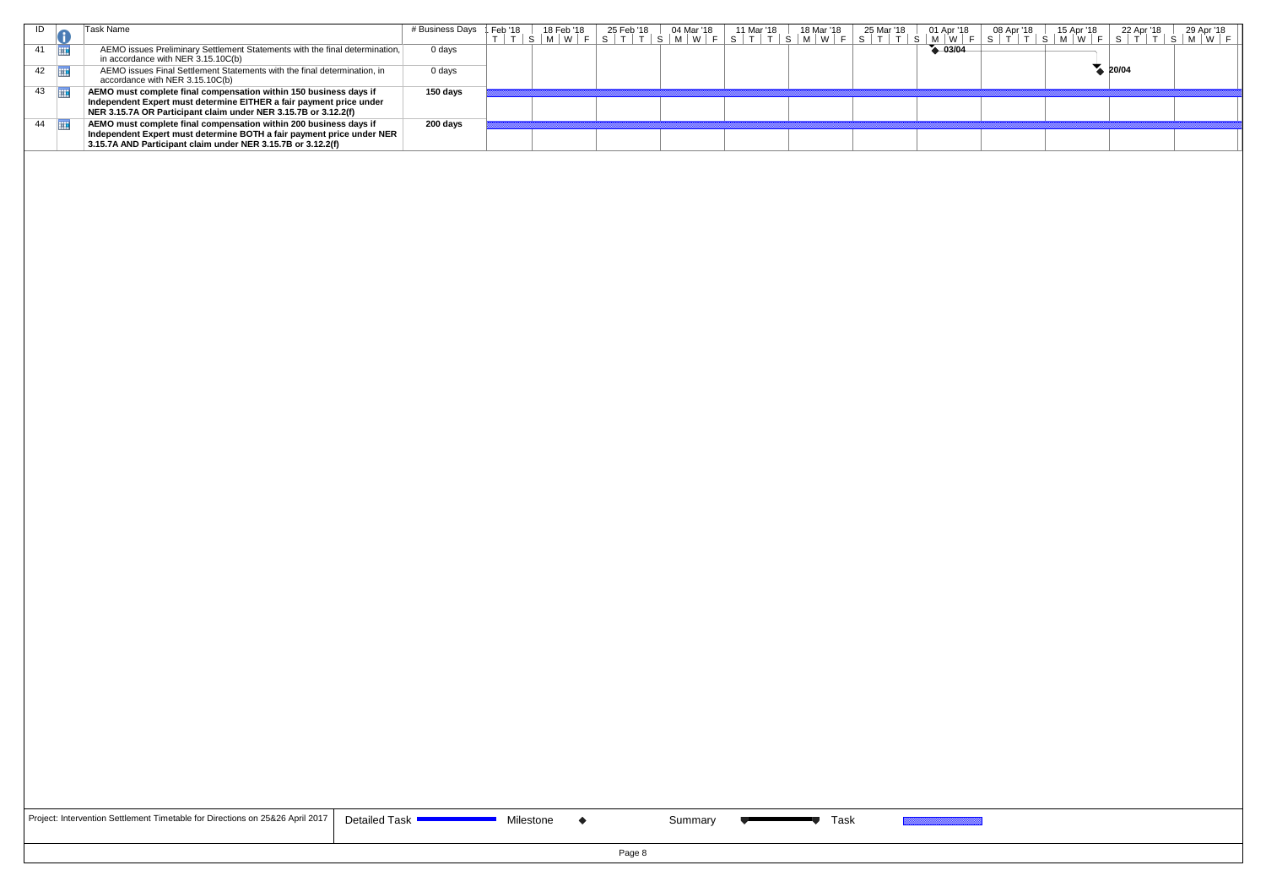| ID                    | Task Name                                                                                                                                                                                                   | # Business Days   Feb '18 |  |  |  | IFeb'18 │ 18 Feb'18 │ 25 Feb'18 │ 04 Mar'18 │ 11 Mar'18 │ 18 Mar'18 │ 25 Mar'18 │ 01 Apr'18 │<br>T │ T │ S │ M │ W │ F │ S │ T │ T │ S │ M │ W │ F │ S │ T │ T │ S │ M │ W │ F │ S │ T │ T │ S │ M │ W │ F │ |             | 08 Apr '18 | 15 Apr '18 | 29 Apr '18<br>22 Apr '18<br>  S   T   T   S   M   W   F   S   T   T   S   M   W   F |
|-----------------------|-------------------------------------------------------------------------------------------------------------------------------------------------------------------------------------------------------------|---------------------------|--|--|--|--------------------------------------------------------------------------------------------------------------------------------------------------------------------------------------------------------------|-------------|------------|------------|-------------------------------------------------------------------------------------|
| 41                    | AEMO issues Preliminary Settlement Statements with the final determination,<br>in accordance with NER $3.15.10C(b)$                                                                                         | 0 days                    |  |  |  |                                                                                                                                                                                                              | $4 - 03/04$ |            |            |                                                                                     |
| $42 \quad \Box$       | AEMO issues Final Settlement Statements with the final determination, in<br>accordance with NER 3.15.10C(b)                                                                                                 | 0 days                    |  |  |  |                                                                                                                                                                                                              |             |            |            | $\bullet$ 20/04                                                                     |
| $43 \quad \boxed{11}$ | AEMO must complete final compensation within 150 business days if<br>Independent Expert must determine EITHER a fair payment price under<br>NER 3.15.7A OR Participant claim under NER 3.15.7B or 3.12.2(f) | 150 days                  |  |  |  |                                                                                                                                                                                                              |             |            |            |                                                                                     |
| 44 $\Box$             | AEMO must complete final compensation within 200 business days if<br>Independent Expert must determine BOTH a fair payment price under NER<br>3.15.7A AND Participant claim under NER 3.15.7B or 3.12.2(f)  | 200 days                  |  |  |  |                                                                                                                                                                                                              |             |            |            |                                                                                     |
|                       |                                                                                                                                                                                                             |                           |  |  |  |                                                                                                                                                                                                              |             |            |            |                                                                                     |

| Project: Intervention Settlement Timetable for Directions on 25&26 April 2017 $\vert$ De |  |  |
|------------------------------------------------------------------------------------------|--|--|
|------------------------------------------------------------------------------------------|--|--|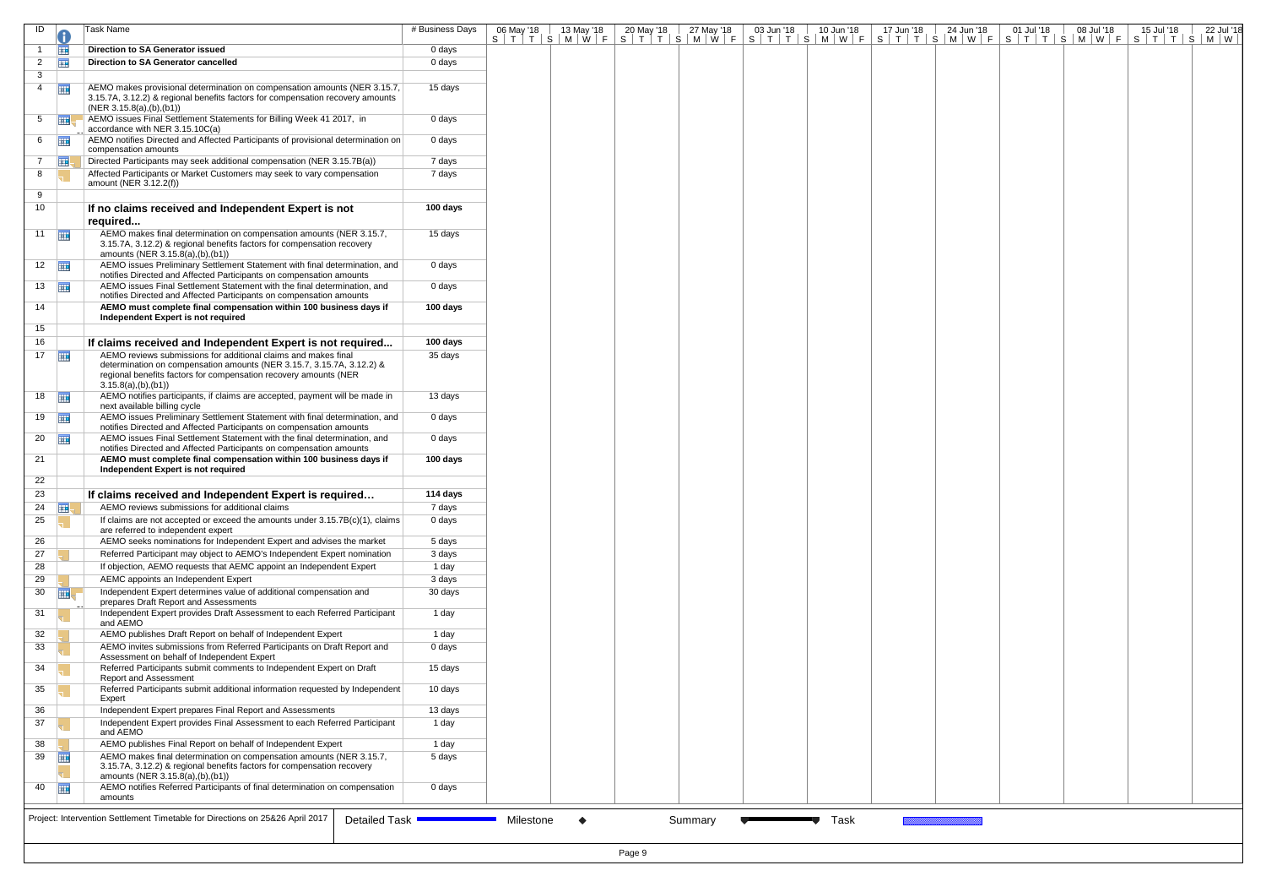| ID                    |                      | Task Name                                                                                                                                                                                                                           | # Business Days | 06 May '18 | 13 May '18 | 20 May '18<br>27 May '18<br>S T T S M W F S T T S M W F S T T S M W F S T T S M W F S T T S M W F S T T S M W F S T T S M W F S T T S M W | 03 Jun '18 | $10$ Jun $18$ | 17 Jun '18 | 24 Jun '18 | 01 Jul '18<br>08 Jul '18 | 15 Jul '18<br>22 Jul '18 |
|-----------------------|----------------------|-------------------------------------------------------------------------------------------------------------------------------------------------------------------------------------------------------------------------------------|-----------------|------------|------------|-------------------------------------------------------------------------------------------------------------------------------------------|------------|---------------|------------|------------|--------------------------|--------------------------|
|                       | 再                    | Direction to SA Generator issued                                                                                                                                                                                                    | 0 days          |            |            |                                                                                                                                           |            |               |            |            |                          |                          |
| $\mathbf{2}$          | 亜                    | Direction to SA Generator cancelled                                                                                                                                                                                                 | 0 days          |            |            |                                                                                                                                           |            |               |            |            |                          |                          |
| 3                     |                      |                                                                                                                                                                                                                                     |                 |            |            |                                                                                                                                           |            |               |            |            |                          |                          |
| $\overline{4}$        | $\overline{1}$       | AEMO makes provisional determination on compensation amounts (NER 3.15.7,<br>3.15.7A, 3.12.2) & regional benefits factors for compensation recovery amounts<br>(NER 3.15.8(a), (b), (b1))                                           | 15 days         |            |            |                                                                                                                                           |            |               |            |            |                          |                          |
| 5                     | ⊞                    | AEMO issues Final Settlement Statements for Billing Week 41 2017, in<br>accordance with NER 3.15.10C(a)                                                                                                                             | 0 days          |            |            |                                                                                                                                           |            |               |            |            |                          |                          |
|                       | $6 \quad \boxed{11}$ | AEMO notifies Directed and Affected Participants of provisional determination on<br>compensation amounts                                                                                                                            | 0 days          |            |            |                                                                                                                                           |            |               |            |            |                          |                          |
| $7\overline{ }$       | ⊞                    | Directed Participants may seek additional compensation (NER 3.15.7B(a))                                                                                                                                                             | 7 days          |            |            |                                                                                                                                           |            |               |            |            |                          |                          |
| 8                     |                      | Affected Participants or Market Customers may seek to vary compensation                                                                                                                                                             | 7 days          |            |            |                                                                                                                                           |            |               |            |            |                          |                          |
|                       |                      | amount (NER 3.12.2(f))                                                                                                                                                                                                              |                 |            |            |                                                                                                                                           |            |               |            |            |                          |                          |
| 9<br>10               |                      | If no claims received and Independent Expert is not                                                                                                                                                                                 | 100 days        |            |            |                                                                                                                                           |            |               |            |            |                          |                          |
| 11                    |                      | required<br>AEMO makes final determination on compensation amounts (NER 3.15.7,                                                                                                                                                     | 15 days         |            |            |                                                                                                                                           |            |               |            |            |                          |                          |
|                       |                      | 3.15.7A, 3.12.2) & regional benefits factors for compensation recovery<br>amounts (NER 3.15.8(a),(b),(b1))                                                                                                                          |                 |            |            |                                                                                                                                           |            |               |            |            |                          |                          |
| $12 \quad \boxed{11}$ |                      | AEMO issues Preliminary Settlement Statement with final determination, and<br>notifies Directed and Affected Participants on compensation amounts                                                                                   | 0 days          |            |            |                                                                                                                                           |            |               |            |            |                          |                          |
| $13 \quad \boxed{11}$ |                      | AEMO issues Final Settlement Statement with the final determination, and<br>notifies Directed and Affected Participants on compensation amounts                                                                                     | 0 days          |            |            |                                                                                                                                           |            |               |            |            |                          |                          |
| 14                    |                      | AEMO must complete final compensation within 100 business days if<br>Independent Expert is not required                                                                                                                             | 100 days        |            |            |                                                                                                                                           |            |               |            |            |                          |                          |
| 15                    |                      |                                                                                                                                                                                                                                     |                 |            |            |                                                                                                                                           |            |               |            |            |                          |                          |
| 16                    |                      | If claims received and Independent Expert is not required                                                                                                                                                                           | 100 days        |            |            |                                                                                                                                           |            |               |            |            |                          |                          |
| 17                    |                      | AEMO reviews submissions for additional claims and makes final<br>determination on compensation amounts (NER 3.15.7, 3.15.7A, 3.12.2) &<br>regional benefits factors for compensation recovery amounts (NER<br>3.15.8(a), (b), (b1) | 35 days         |            |            |                                                                                                                                           |            |               |            |            |                          |                          |
| 18                    |                      | AEMO notifies participants, if claims are accepted, payment will be made in<br>next available billing cycle                                                                                                                         | 13 days         |            |            |                                                                                                                                           |            |               |            |            |                          |                          |
| $19$ $\frac{1}{2}$    |                      | AEMO issues Preliminary Settlement Statement with final determination, and<br>notifies Directed and Affected Participants on compensation amounts                                                                                   | 0 days          |            |            |                                                                                                                                           |            |               |            |            |                          |                          |
| $20$ $\frac{1}{2}$    |                      | AEMO issues Final Settlement Statement with the final determination, and<br>notifies Directed and Affected Participants on compensation amounts                                                                                     | 0 days          |            |            |                                                                                                                                           |            |               |            |            |                          |                          |
| 21                    |                      | AEMO must complete final compensation within 100 business days if<br>Independent Expert is not required                                                                                                                             | 100 days        |            |            |                                                                                                                                           |            |               |            |            |                          |                          |
| 22                    |                      |                                                                                                                                                                                                                                     |                 |            |            |                                                                                                                                           |            |               |            |            |                          |                          |
| 23                    |                      | If claims received and Independent Expert is required                                                                                                                                                                               | 114 days        |            |            |                                                                                                                                           |            |               |            |            |                          |                          |
| 24                    | HI.                  | AEMO reviews submissions for additional claims                                                                                                                                                                                      | 7 days          |            |            |                                                                                                                                           |            |               |            |            |                          |                          |
| 25                    |                      | If claims are not accepted or exceed the amounts under 3.15.7B(c)(1), claims<br>are referred to independent expert                                                                                                                  | 0 days          |            |            |                                                                                                                                           |            |               |            |            |                          |                          |
| 26                    |                      | AEMO seeks nominations for Independent Expert and advises the market                                                                                                                                                                | 5 days          |            |            |                                                                                                                                           |            |               |            |            |                          |                          |
| 27                    |                      | Referred Participant may object to AEMO's Independent Expert nomination                                                                                                                                                             | 3 days          |            |            |                                                                                                                                           |            |               |            |            |                          |                          |
| 28                    |                      | If objection, AEMO requests that AEMC appoint an Independent Expert                                                                                                                                                                 | 1 day           |            |            |                                                                                                                                           |            |               |            |            |                          |                          |
| 29                    |                      | AEMC appoints an Independent Expert                                                                                                                                                                                                 | 3 days          |            |            |                                                                                                                                           |            |               |            |            |                          |                          |
|                       | $30$ $\Box$          | Independent Expert determines value of additional compensation and                                                                                                                                                                  | 30 days         |            |            |                                                                                                                                           |            |               |            |            |                          |                          |
| 31                    |                      | prepares Draft Report and Assessments<br>Independent Expert provides Draft Assessment to each Referred Participant<br>and AEMO                                                                                                      | 1 day           |            |            |                                                                                                                                           |            |               |            |            |                          |                          |
| 32                    |                      | AEMO publishes Draft Report on behalf of Independent Expert                                                                                                                                                                         | 1 day           |            |            |                                                                                                                                           |            |               |            |            |                          |                          |
| 33                    |                      | AEMO invites submissions from Referred Participants on Draft Report and                                                                                                                                                             | 0 days          |            |            |                                                                                                                                           |            |               |            |            |                          |                          |
| 34                    |                      | Assessment on behalf of Independent Expert<br>Referred Participants submit comments to Independent Expert on Draft                                                                                                                  | 15 days         |            |            |                                                                                                                                           |            |               |            |            |                          |                          |
| 35                    |                      | <b>Report and Assessment</b><br>Referred Participants submit additional information requested by Independent                                                                                                                        | 10 days         |            |            |                                                                                                                                           |            |               |            |            |                          |                          |
| 36                    |                      | Expert<br>Independent Expert prepares Final Report and Assessments                                                                                                                                                                  | 13 days         |            |            |                                                                                                                                           |            |               |            |            |                          |                          |
| 37                    |                      | Independent Expert provides Final Assessment to each Referred Participant<br>and AEMO                                                                                                                                               | 1 day           |            |            |                                                                                                                                           |            |               |            |            |                          |                          |
| 38                    |                      | AEMO publishes Final Report on behalf of Independent Expert                                                                                                                                                                         | 1 day           |            |            |                                                                                                                                           |            |               |            |            |                          |                          |
| 39                    |                      | AEMO makes final determination on compensation amounts (NER 3.15.7,<br>3.15.7A, 3.12.2) & regional benefits factors for compensation recovery<br>amounts (NER 3.15.8(a),(b),(b1))                                                   | 5 days          |            |            |                                                                                                                                           |            |               |            |            |                          |                          |
| $40$ $\Box$           |                      | AEMO notifies Referred Participants of final determination on compensation<br>amounts                                                                                                                                               | 0 days          |            |            |                                                                                                                                           |            |               |            |            |                          |                          |
|                       |                      |                                                                                                                                                                                                                                     |                 |            |            |                                                                                                                                           |            |               |            |            |                          |                          |
|                       |                      | Project: Intervention Settlement Timetable for Directions on 25&26 April 2017<br>Detailed Task                                                                                                                                      |                 | Milestone  | ◆          | Summary                                                                                                                                   |            | Task          |            |            |                          |                          |
|                       |                      |                                                                                                                                                                                                                                     |                 |            |            |                                                                                                                                           |            |               |            |            |                          |                          |
|                       | Page 9               |                                                                                                                                                                                                                                     |                 |            |            |                                                                                                                                           |            |               |            |            |                          |                          |